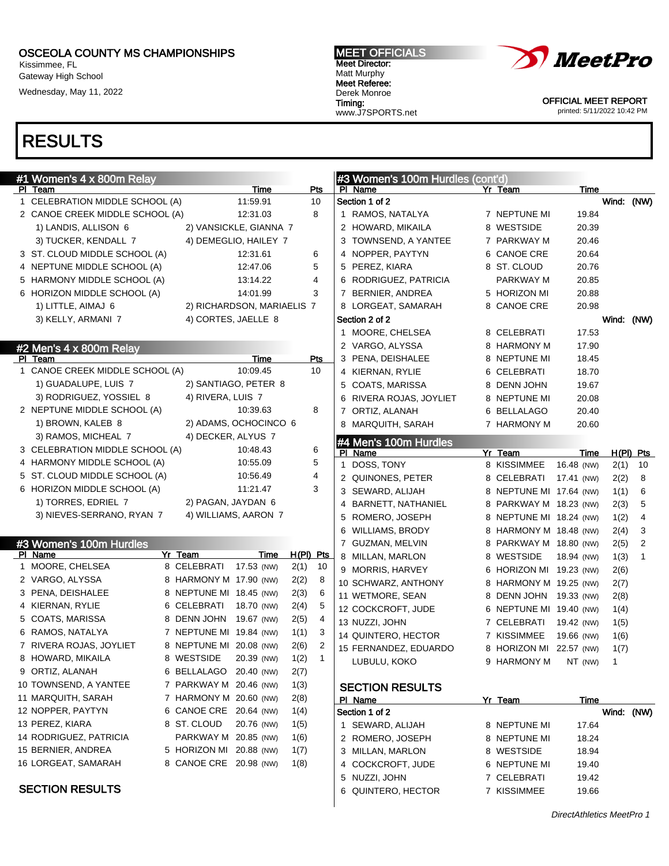Kissimmee, FL Gateway High School

Wednesday, May 11, 2022

#### MEET OFFICIALS Meet Director: Matt Murphy Meet Referee: Derek Monroe Timing:

www.J7SPORTS.net



OFFICIAL MEET REPORT printed: 5/11/2022 10:42 PM

| #1 Women's 4 x 800m Relay          |                         |                            |                      | #3 Women's 100m Hurdles (cont'd)      |                         |                    |                |                |
|------------------------------------|-------------------------|----------------------------|----------------------|---------------------------------------|-------------------------|--------------------|----------------|----------------|
| PI Team                            |                         | Time                       | Pts                  | PI Name                               | Yr Team                 | Time               |                |                |
| 1 CELEBRATION MIDDLE SCHOOL (A)    |                         | 11:59.91                   | 10                   | Section 1 of 2                        |                         |                    |                | Wind: (NW)     |
| 2 CANOE CREEK MIDDLE SCHOOL (A)    |                         | 12:31.03                   | 8                    | 1 RAMOS, NATALYA                      | 7 NEPTUNE MI            | 19.84              |                |                |
| 1) LANDIS, ALLISON 6               |                         | 2) VANSICKLE, GIANNA 7     |                      | 2 HOWARD, MIKAILA                     | 8 WESTSIDE              | 20.39              |                |                |
| 3) TUCKER, KENDALL 7               |                         | 4) DEMEGLIO, HAILEY 7      |                      | 3 TOWNSEND, A YANTEE                  | 7 PARKWAY M             | 20.46              |                |                |
| 3 ST. CLOUD MIDDLE SCHOOL (A)      |                         | 12:31.61                   | 6                    | 4 NOPPER, PAYTYN                      | 6 CANOE CRE             | 20.64              |                |                |
| 4 NEPTUNE MIDDLE SCHOOL (A)        |                         | 12:47.06                   | 5                    | 5 PEREZ, KIARA                        | 8 ST. CLOUD             | 20.76              |                |                |
| 5 HARMONY MIDDLE SCHOOL (A)        |                         | 13:14.22                   | 4                    | 6 RODRIGUEZ, PATRICIA                 | PARKWAY M               | 20.85              |                |                |
| 6 HORIZON MIDDLE SCHOOL (A)        |                         | 14:01.99                   | 3                    | 7 BERNIER, ANDREA                     | 5 HORIZON MI            | 20.88              |                |                |
| 1) LITTLE, AIMAJ 6                 |                         | 2) RICHARDSON, MARIAELIS 7 |                      | 8 LORGEAT, SAMARAH                    | 8 CANOE CRE             | 20.98              |                |                |
| 3) KELLY, ARMANI 7                 |                         | 4) CORTES, JAELLE 8        |                      | Section 2 of 2                        |                         |                    |                | Wind: (NW)     |
|                                    |                         |                            |                      | 1 MOORE, CHELSEA                      | 8 CELEBRATI             | 17.53              |                |                |
| $#2$ Men's 4 x 800m Relay          |                         |                            |                      | 2 VARGO, ALYSSA                       | 8 HARMONY M             | 17.90              |                |                |
| PI Team                            |                         | Time                       | <b>Pts</b>           | 3 PENA, DEISHALEE                     | 8 NEPTUNE MI            | 18.45              |                |                |
| 1 CANOE CREEK MIDDLE SCHOOL (A)    |                         | 10:09.45                   | 10                   | 4 KIERNAN, RYLIE                      | 6 CELEBRATI             | 18.70              |                |                |
| 1) GUADALUPE, LUIS 7               |                         | 2) SANTIAGO, PETER 8       |                      | 5 COATS, MARISSA                      | 8 DENN JOHN             | 19.67              |                |                |
| 3) RODRIGUEZ, YOSSIEL 8            | 4) RIVERA, LUIS 7       |                            |                      | RIVERA ROJAS, JOYLIET<br>6            | 8 NEPTUNE MI            | 20.08              |                |                |
| 2 NEPTUNE MIDDLE SCHOOL (A)        |                         | 10:39.63                   | 8                    | 7 ORTIZ, ALANAH                       | 6 BELLALAGO             | 20.40              |                |                |
| 1) BROWN, KALEB 8                  |                         | 2) ADAMS, OCHOCINCO 6      |                      | 8 MARQUITH, SARAH                     | 7 HARMONY M             | 20.60              |                |                |
| 3) RAMOS, MICHEAL 7                |                         | 4) DECKER, ALYUS 7         |                      |                                       |                         |                    |                |                |
| 3 CELEBRATION MIDDLE SCHOOL (A)    |                         | 10:48.43                   | 6                    | #4 Men's 100m Hurdles                 |                         |                    |                |                |
| 4 HARMONY MIDDLE SCHOOL (A)        |                         | 10:55.09                   | 5                    | PI Name<br>DOSS, TONY<br>$\mathbf{1}$ | Yr Team<br>8 KISSIMMEE  | Time<br>16.48 (NW) |                | $H(PI)$ Pts    |
| 5 ST. CLOUD MIDDLE SCHOOL (A)      |                         | 10:56.49                   | 4                    |                                       |                         |                    | 2(1)           | 10             |
| 6 HORIZON MIDDLE SCHOOL (A)        |                         | 11:21.47                   | 3                    | 2 QUINONES, PETER                     | 8 CELEBRATI             | 17.41 (NW)         | 2(2)           | 8              |
| 1) TORRES, EDRIEL 7                | 2) PAGAN, JAYDAN 6      |                            |                      | 3 SEWARD, ALIJAH                      | 8 NEPTUNE MI 17.64 (NW) |                    | 1(1)           | 6              |
| 3) NIEVES-SERRANO, RYAN 7          |                         | 4) WILLIAMS, AARON 7       |                      | BARNETT, NATHANIEL<br>4               | 8 PARKWAY M 18.23 (NW)  |                    | 2(3)           | 5              |
|                                    |                         |                            |                      | 5<br>ROMERO, JOSEPH                   | 8 NEPTUNE MI 18.24 (NW) |                    | 1(2)           | 4              |
|                                    |                         |                            |                      | <b>WILLIAMS, BRODY</b><br>6           | 8 HARMONY M 18.48 (NW)  |                    | 2(4)           | 3              |
| #3 Women's 100m Hurdles<br>PI Name | Yr Team                 | Time                       | $H(PI)$ Pts          | 7 GUZMAN, MELVIN                      | 8 PARKWAY M 18.80 (NW)  |                    | 2(5)           | $\overline{2}$ |
| 1 MOORE, CHELSEA                   | 8 CELEBRATI             | 17.53 (NW)                 | 2(1)<br>10           | 8 MILLAN, MARLON                      | 8 WESTSIDE              | 18.94 (NW)         | 1(3)           | $\mathbf{1}$   |
| 2 VARGO, ALYSSA                    | 8 HARMONY M 17.90 (NW)  |                            | 2(2)<br>8            | 9 MORRIS, HARVEY                      | 6 HORIZON MI 19.23 (NW) |                    | 2(6)           |                |
| 3 PENA, DEISHALEE                  | 8 NEPTUNE MI 18.45 (NW) |                            | 2(3)<br>6            | 10 SCHWARZ, ANTHONY                   | 8 HARMONY M 19.25 (NW)  |                    | 2(7)           |                |
| 4 KIERNAN, RYLIE                   | 6 CELEBRATI             | 18.70 (NW)                 | 5                    | 11 WETMORE, SEAN                      | 8 DENN JOHN 19.33 (NW)  |                    | 2(8)           |                |
| 5 COATS, MARISSA                   | 8 DENN JOHN             | 19.67 (NW)                 | 2(4)<br>4            | 12 COCKCROFT, JUDE                    | 6 NEPTUNE MI 19.40 (NW) |                    | 1(4)           |                |
| 6 RAMOS, NATALYA                   | 7 NEPTUNE MI 19.84 (NW) |                            | 2(5)<br>3            | 13 NUZZI, JOHN                        | 7 CELEBRATI             | 19.42 (NW)         | 1(5)           |                |
|                                    | 8 NEPTUNE MI 20.08 (NW) |                            | 1(1)<br>2            | 14 QUINTERO, HECTOR                   | 7 KISSIMMEE             | 19.66 (NW)         | 1(6)           |                |
| 7 RIVERA ROJAS, JOYLIET            | 8 WESTSIDE              |                            | 2(6)                 | 15 FERNANDEZ, EDUARDO                 | 8 HORIZON MI 22.57 (NW) |                    | 1(7)           |                |
| 8 HOWARD, MIKAILA                  |                         | 20.39 (NW)                 | 1(2)<br>$\mathbf{1}$ | LUBULU, KOKO                          | 9 HARMONY M             | NT (NW)            | $\overline{1}$ |                |
| 9 ORTIZ, ALANAH                    | 6 BELLALAGO 20.40 (NW)  |                            | 2(7)                 |                                       |                         |                    |                |                |
| 10 TOWNSEND, A YANTEE              | 7 PARKWAY M 20.46 (NW)  |                            | 1(3)                 | <b>SECTION RESULTS</b>                |                         |                    |                |                |
| 11 MARQUITH, SARAH                 | 7 HARMONY M 20.60 (NW)  |                            | 2(8)                 | PI Name                               | Yr Team                 | Time               |                |                |
| 12 NOPPER, PAYTYN                  | 6 CANOE CRE 20.64 (NW)  |                            | 1(4)                 | Section 1 of 2                        |                         |                    |                | Wind: (NW)     |
| 13 PEREZ, KIARA                    | 8 ST. CLOUD             | 20.76 (NW)                 | 1(5)                 | 1 SEWARD, ALIJAH                      | 8 NEPTUNE MI            | 17.64              |                |                |
| 14 RODRIGUEZ, PATRICIA             | PARKWAY M 20.85 (NW)    |                            | 1(6)                 | 2 ROMERO, JOSEPH                      | 8 NEPTUNE MI            | 18.24              |                |                |
| 15 BERNIER, ANDREA                 | 5 HORIZON MI 20.88 (NW) |                            | 1(7)                 | 3 MILLAN, MARLON                      | 8 WESTSIDE              | 18.94              |                |                |
| 16 LORGEAT, SAMARAH                | 8 CANOE CRE 20.98 (NW)  |                            | 1(8)                 | 4 COCKCROFT, JUDE                     | 6 NEPTUNE MI            | 19.40              |                |                |
|                                    |                         |                            |                      | 5 NUZZI, JOHN                         | 7 CELEBRATI             | 19.42              |                |                |
| <b>SECTION RESULTS</b>             |                         |                            |                      | 6 QUINTERO, HECTOR                    | 7 KISSIMMEE             | 19.66              |                |                |
|                                    |                         |                            |                      |                                       |                         |                    |                |                |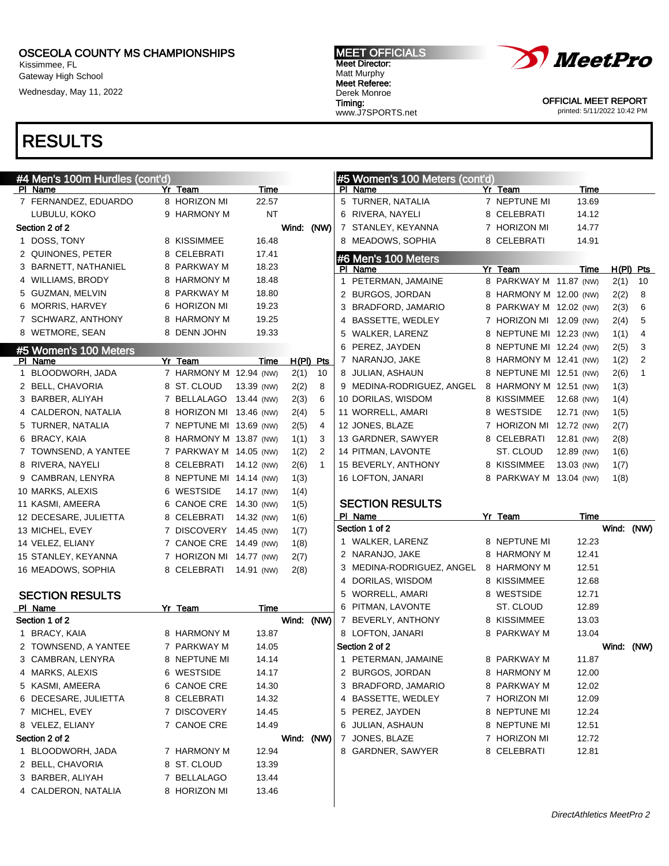Kissimmee, FL Gateway High School

Wednesday, May 11, 2022

# RESULTS

| #4 Men's 100m Hurdles (cont'd)          |                             |                |            |              | #5 Women's 100 Meters (cont'd) |                         |            |             |                |
|-----------------------------------------|-----------------------------|----------------|------------|--------------|--------------------------------|-------------------------|------------|-------------|----------------|
| PI Name                                 | Yr Team                     | Time           |            |              | PI Name                        | Yr Team                 | Time       |             |                |
| 7 FERNANDEZ, EDUARDO                    | 8 HORIZON MI                | 22.57          |            |              | 5 TURNER, NATALIA              | 7 NEPTUNE MI            | 13.69      |             |                |
| LUBULU, KOKO                            | 9 HARMONY M                 | ΝT             |            |              | 6 RIVERA, NAYELI               | 8 CELEBRATI             | 14.12      |             |                |
| Section 2 of 2                          |                             |                | Wind: (NW) |              | 7 STANLEY, KEYANNA             | 7 HORIZON MI            | 14.77      |             |                |
| 1 DOSS, TONY                            | 8 KISSIMMEE                 | 16.48          |            |              | 8 MEADOWS, SOPHIA              | 8 CELEBRATI             | 14.91      |             |                |
| 2 QUINONES, PETER                       | 8 CELEBRATI                 | 17.41          |            |              | #6 Men's 100 Meters            |                         |            |             |                |
| 3 BARNETT, NATHANIEL                    | 8 PARKWAY M                 | 18.23          |            |              | PI Name                        | Yr Team                 | Time       | $H(PI)$ Pts |                |
| 4 WILLIAMS, BRODY                       | 8 HARMONY M                 | 18.48          |            |              | 1 PETERMAN, JAMAINE            | 8 PARKWAY M 11.87 (NW)  |            | 2(1)        | 10             |
| 5 GUZMAN, MELVIN                        | 8 PARKWAY M                 | 18.80          |            |              | 2 BURGOS, JORDAN               | 8 HARMONY M 12.00 (NW)  |            | 2(2)        | 8              |
| 6 MORRIS, HARVEY                        | 6 HORIZON MI                | 19.23          |            |              | 3 BRADFORD, JAMARIO            | 8 PARKWAY M 12.02 (NW)  |            | 2(3)        | 6              |
| 7 SCHWARZ, ANTHONY                      | 8 HARMONY M                 | 19.25          |            |              | 4 BASSETTE, WEDLEY             | 7 HORIZON MI 12.09 (NW) |            | 2(4)        | 5              |
| 8 WETMORE, SEAN                         | 8 DENN JOHN                 | 19.33          |            |              | 5 WALKER, LARENZ               | 8 NEPTUNE MI 12.23 (NW) |            | 1(1)        | 4              |
| #5 Women's 100 Meters                   |                             |                |            |              | 6 PEREZ, JAYDEN                | 8 NEPTUNE MI 12.24 (NW) |            | 2(5)        | 3              |
| PI Name                                 | $\overline{Y}$ r Team       | Time           |            | $H(PI)$ Pts  | 7 NARANJO, JAKE                | 8 HARMONY M 12.41 (NW)  |            | 1(2)        | $\overline{2}$ |
| 1 BLOODWORH, JADA                       | 7 HARMONY M 12.94 (NW)      |                | 2(1)       | 10           | 8 JULIAN, ASHAUN               | 8 NEPTUNE MI 12.51 (NW) |            | 2(6)        | $\mathbf{1}$   |
| 2 BELL, CHAVORIA                        | 8 ST. CLOUD                 | 13.39 (NW)     | 2(2)       | 8            | 9 MEDINA-RODRIGUEZ, ANGEL      | 8 HARMONY M 12.51 (NW)  |            | 1(3)        |                |
| 3 BARBER, ALIYAH                        | 7 BELLALAGO 13.44 (NW)      |                | 2(3)       | 6            | 10 DORILAS, WISDOM             | 8 KISSIMMEE             | 12.68 (NW) | 1(4)        |                |
| 4 CALDERON, NATALIA                     | 8 HORIZON MI 13.46 (NW)     |                | 2(4)       | 5            | 11 WORRELL, AMARI              | 8 WESTSIDE              | 12.71 (NW) | 1(5)        |                |
| 5 TURNER, NATALIA                       | 7 NEPTUNE MI 13.69 (NW)     |                | 2(5)       | 4            | 12 JONES, BLAZE                | 7 HORIZON MI 12.72 (NW) |            | 2(7)        |                |
| 6 BRACY, KAIA                           | 8 HARMONY M 13.87 (NW)      |                | 1(1)       | 3            | 13 GARDNER, SAWYER             | 8 CELEBRATI             | 12.81 (NW) | 2(8)        |                |
| 7 TOWNSEND, A YANTEE                    | 7 PARKWAY M 14.05 (NW)      |                | 1(2)       | 2            | 14 PITMAN, LAVONTE             | ST. CLOUD               | 12.89 (NW) | 1(6)        |                |
| 8 RIVERA, NAYELI                        | 8 CELEBRATI                 | 14.12 (NW)     | 2(6)       | $\mathbf{1}$ | 15 BEVERLY, ANTHONY            | 8 KISSIMMEE             | 13.03 (NW) | 1(7)        |                |
| 9 CAMBRAN, LENYRA                       | 8 NEPTUNE MI 14.14 (NW)     |                | 1(3)       |              | 16 LOFTON, JANARI              | 8 PARKWAY M 13.04 (NW)  |            | 1(8)        |                |
| 10 MARKS, ALEXIS                        | 6 WESTSIDE                  | 14.17 (NW)     | 1(4)       |              |                                |                         |            |             |                |
|                                         | 6 CANOE CRE 14.30 (NW)      |                |            |              | <b>SECTION RESULTS</b>         |                         |            |             |                |
| 11 KASMI, AMEERA                        |                             |                | 1(5)       |              |                                |                         |            |             |                |
| 12 DECESARE, JULIETTA                   | 8 CELEBRATI                 | 14.32 (NW)     | 1(6)       |              | PI Name                        | Yr_Team                 | Time       |             |                |
| 13 MICHEL, EVEY                         | 7 DISCOVERY 14.45 (NW)      |                | 1(7)       |              | Section 1 of 2                 |                         |            | Wind: (NW)  |                |
| 14 VELEZ, ELIANY                        | 7 CANOE CRE 14.49 (NW)      |                | 1(8)       |              | 1 WALKER, LARENZ               | 8 NEPTUNE MI            | 12.23      |             |                |
| 15 STANLEY, KEYANNA                     | 7 HORIZON MI 14.77 (NW)     |                | 2(7)       |              | 2 NARANJO, JAKE                | 8 HARMONY M             | 12.41      |             |                |
| 16 MEADOWS, SOPHIA                      | 8 CELEBRATI                 | 14.91 (NW)     | 2(8)       |              | 3 MEDINA-RODRIGUEZ, ANGEL      | 8 HARMONY M             | 12.51      |             |                |
|                                         |                             |                |            |              | 4 DORILAS, WISDOM              | 8 KISSIMMEE             | 12.68      |             |                |
| <b>SECTION RESULTS</b>                  |                             |                |            |              | 5 WORRELL, AMARI               | 8 WESTSIDE              | 12.71      |             |                |
| PI Name                                 | Yr Team                     | Time           |            |              | 6 PITMAN, LAVONTE              | ST. CLOUD               | 12.89      |             |                |
| Section 1 of 2                          |                             |                | Wind: (NW) |              | 7 BEVERLY, ANTHONY             | 8 KISSIMMEE             | 13.03      |             |                |
| 1 BRACY, KAIA                           | 8 HARMONY M                 | 13.87          |            |              | 8 LOFTON, JANARI               | 8 PARKWAY M             | 13.04      |             |                |
| 2 TOWNSEND, A YANTEE                    | 7 PARKWAY M                 | 14.05          |            |              | Section 2 of 2                 |                         |            | Wind: (NW)  |                |
| 3 CAMBRAN, LENYRA                       | 8 NEPTUNE MI                | 14.14          |            |              | 1 PETERMAN, JAMAINE            | 8 PARKWAY M             | 11.87      |             |                |
| 4 MARKS, ALEXIS                         | 6 WESTSIDE                  | 14.17          |            |              | 2 BURGOS, JORDAN               | 8 HARMONY M             | 12.00      |             |                |
| 5 KASMI, AMEERA                         | 6 CANOE CRE                 | 14.30          |            |              | 3 BRADFORD, JAMARIO            | 8 PARKWAY M             | 12.02      |             |                |
| 6 DECESARE, JULIETTA                    | 8 CELEBRATI                 | 14.32          |            |              | 4 BASSETTE, WEDLEY             | 7 HORIZON MI            | 12.09      |             |                |
| 7 MICHEL, EVEY                          | 7 DISCOVERY                 | 14.45          |            |              | 5 PEREZ, JAYDEN                | 8 NEPTUNE MI            | 12.24      |             |                |
| 8 VELEZ, ELIANY                         | 7 CANOE CRE                 | 14.49          |            |              | 6 JULIAN, ASHAUN               | 8 NEPTUNE MI            | 12.51      |             |                |
| Section 2 of 2                          |                             |                | Wind: (NW) |              | 7 JONES, BLAZE                 | 7 HORIZON MI            | 12.72      |             |                |
| 1 BLOODWORH, JADA                       | 7 HARMONY M                 | 12.94          |            |              | 8 GARDNER, SAWYER              | 8 CELEBRATI             | 12.81      |             |                |
| 2 BELL, CHAVORIA                        | 8 ST. CLOUD                 | 13.39          |            |              |                                |                         |            |             |                |
| 3 BARBER, ALIYAH<br>4 CALDERON, NATALIA | 7 BELLALAGO<br>8 HORIZON MI | 13.44<br>13.46 |            |              |                                |                         |            |             |                |

 $\overline{\phantom{a}}$ 

MEET OFFICIALS Meet Director: Matt Murphy Meet Referee: Derek Monroe Timing: www.J7SPORTS.net



OFFICIAL MEET REPORT printed: 5/11/2022 10:42 PM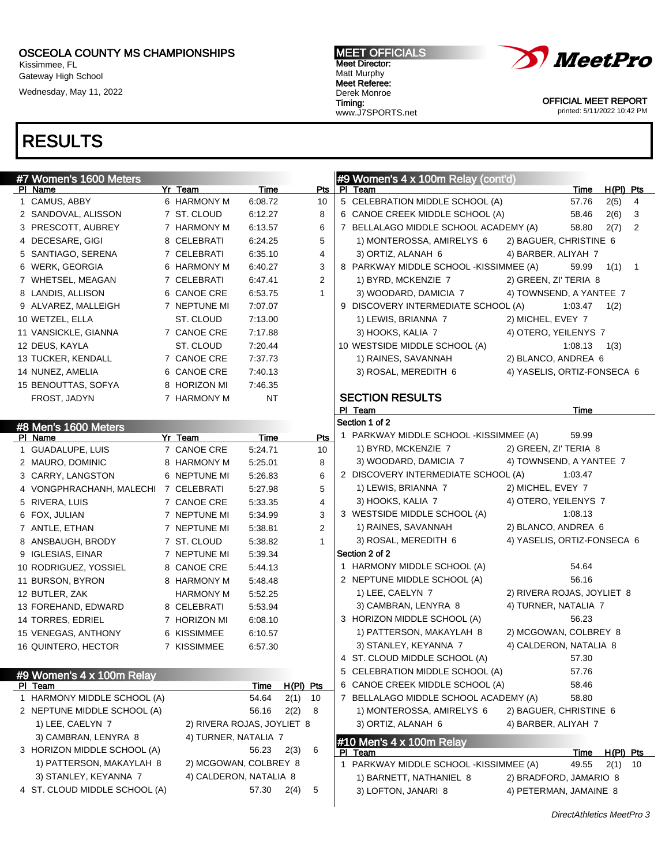Kissimmee, FL Gateway High School

Wednesday, May 11, 2022

#### MEET OFFICIALS Meet Director: Matt Murphy Meet Referee: Derek Monroe Timing:

www.J7SPORTS.net



OFFICIAL MEET REPORT printed: 5/11/2022 10:42 PM

| #7 Women's 1600 Meters        |                            |             |           |                | #9 Women's 4 x 100m Relay (cont'd)                                         |
|-------------------------------|----------------------------|-------------|-----------|----------------|----------------------------------------------------------------------------|
| PI Name                       | Yr Team                    | <u>Time</u> |           | Pts            | PI Team<br>$H(PI)$ Pts<br><b>Time</b>                                      |
| 1 CAMUS, ABBY                 | 6 HARMONY M                | 6:08.72     |           | 10             | 5 CELEBRATION MIDDLE SCHOOL (A)<br>57.76<br>2(5)<br>4                      |
| 2 SANDOVAL, ALISSON           | 7 ST. CLOUD                | 6:12.27     |           | 8              | 6 CANOE CREEK MIDDLE SCHOOL (A)<br>58.46<br>2(6)<br>3                      |
| 3 PRESCOTT, AUBREY            | 7 HARMONY M                | 6:13.57     |           | 6              | 7 BELLALAGO MIDDLE SCHOOL ACADEMY (A)<br>58.80<br>2(7)<br>$\overline{2}$   |
| 4 DECESARE, GIGI              | 8 CELEBRATI                | 6:24.25     |           | 5              | 1) MONTEROSSA, AMIRELYS 6<br>2) BAGUER, CHRISTINE 6                        |
| 5 SANTIAGO, SERENA            | 7 CELEBRATI                | 6:35.10     |           | 4              | 3) ORTIZ, ALANAH 6<br>4) BARBER, ALIYAH 7                                  |
| 6 WERK, GEORGIA               | 6 HARMONY M                | 6:40.27     |           | 3              | 8 PARKWAY MIDDLE SCHOOL - KISSIMMEE (A)<br>59.99<br>1(1)<br>$\overline{1}$ |
| 7 WHETSEL, MEAGAN             | 7 CELEBRATI                | 6:47.41     |           | $\overline{2}$ | 1) BYRD, MCKENZIE 7<br>2) GREEN, ZI' TERIA 8                               |
| 8 LANDIS, ALLISON             | 6 CANOE CRE                | 6:53.75     |           | $\mathbf{1}$   | 3) WOODARD, DAMICIA 7<br>4) TOWNSEND, A YANTEE 7                           |
| 9 ALVAREZ, MALLEIGH           | 7 NEPTUNE MI               | 7:07.07     |           |                | 9 DISCOVERY INTERMEDIATE SCHOOL (A)<br>1:03.47<br>1(2)                     |
| 10 WETZEL, ELLA               | ST. CLOUD                  | 7:13.00     |           |                | 1) LEWIS, BRIANNA 7<br>2) MICHEL, EVEY 7                                   |
| 11 VANSICKLE, GIANNA          | 7 CANOE CRE                | 7:17.88     |           |                | 3) HOOKS, KALIA 7<br>4) OTERO, YEILENYS 7                                  |
| 12 DEUS, KAYLA                | ST. CLOUD                  | 7:20.44     |           |                | 10 WESTSIDE MIDDLE SCHOOL (A)<br>1:08.13<br>1(3)                           |
| 13 TUCKER, KENDALL            | 7 CANOE CRE                | 7:37.73     |           |                | 1) RAINES, SAVANNAH<br>2) BLANCO, ANDREA 6                                 |
| 14 NUNEZ, AMELIA              | 6 CANOE CRE                | 7:40.13     |           |                | 4) YASELIS, ORTIZ-FONSECA 6<br>3) ROSAL, MEREDITH 6                        |
| 15 BENOUTTAS, SOFYA           | 8 HORIZON MI               | 7:46.35     |           |                |                                                                            |
| FROST, JADYN                  | 7 HARMONY M                | <b>NT</b>   |           |                | <b>SECTION RESULTS</b>                                                     |
|                               |                            |             |           |                | PI Team<br>Time                                                            |
| #8 Men's 1600 Meters          |                            |             |           |                | Section 1 of 2                                                             |
| PI Name                       | Yr Team                    | Time        |           | Pts            | 1 PARKWAY MIDDLE SCHOOL -KISSIMMEE (A)<br>59.99                            |
| 1 GUADALUPE, LUIS             | 7 CANOE CRE                | 5:24.71     |           | 10             | 2) GREEN, ZI' TERIA 8<br>1) BYRD, MCKENZIE 7                               |
| 2 MAURO, DOMINIC              | 8 HARMONY M                | 5:25.01     |           | 8              | 4) TOWNSEND, A YANTEE 7<br>3) WOODARD, DAMICIA 7                           |
| 3 CARRY, LANGSTON             | 6 NEPTUNE MI               | 5:26.83     |           | 6              | 2 DISCOVERY INTERMEDIATE SCHOOL (A)<br>1:03.47                             |
| 4 VONGPHRACHANH, MALECHI      | 7 CELEBRATI                | 5:27.98     |           | 5              | 1) LEWIS, BRIANNA 7<br>2) MICHEL, EVEY 7                                   |
| 5 RIVERA, LUIS                | 7 CANOE CRE                | 5:33.35     |           | 4              | 3) HOOKS, KALIA 7<br>4) OTERO, YEILENYS 7                                  |
| 6 FOX, JULIAN                 | 7 NEPTUNE MI               | 5:34.99     |           | 3              | 3 WESTSIDE MIDDLE SCHOOL (A)<br>1:08.13                                    |
| 7 ANTLE, ETHAN                | 7 NEPTUNE MI               | 5:38.81     |           | 2              | 2) BLANCO, ANDREA 6<br>1) RAINES, SAVANNAH                                 |
| 8 ANSBAUGH, BRODY             | 7 ST. CLOUD                | 5:38.82     |           | $\mathbf{1}$   | 4) YASELIS, ORTIZ-FONSECA 6<br>3) ROSAL, MEREDITH 6                        |
| 9 IGLESIAS, EINAR             | 7 NEPTUNE MI               | 5:39.34     |           |                | Section 2 of 2                                                             |
| 10 RODRIGUEZ, YOSSIEL         | 8 CANOE CRE                | 5:44.13     |           |                | 1 HARMONY MIDDLE SCHOOL (A)<br>54.64                                       |
| 11 BURSON, BYRON              | 8 HARMONY M                | 5:48.48     |           |                | 56.16<br>2 NEPTUNE MIDDLE SCHOOL (A)                                       |
| 12 BUTLER, ZAK                | HARMONY M                  | 5:52.25     |           |                | 2) RIVERA ROJAS, JOYLIET 8<br>1) LEE, CAELYN 7                             |
| 13 FOREHAND, EDWARD           | 8 CELEBRATI                | 5:53.94     |           |                | 4) TURNER, NATALIA 7<br>3) CAMBRAN, LENYRA 8                               |
| 14 TORRES, EDRIEL             | 7 HORIZON MI               | 6:08.10     |           |                | 3 HORIZON MIDDLE SCHOOL (A)<br>56.23                                       |
| 15 VENEGAS, ANTHONY           | 6 KISSIMMEE                | 6:10.57     |           |                | 2) MCGOWAN, COLBREY 8<br>1) PATTERSON, MAKAYLAH 8                          |
| 16 QUINTERO, HECTOR           | 7 KISSIMMEE                | 6:57.30     |           |                | 3) STANLEY, KEYANNA 7<br>4) CALDERON, NATALIA 8                            |
|                               |                            |             |           |                | 4 ST. CLOUD MIDDLE SCHOOL (A)<br>57.30                                     |
| #9 Women's 4 x 100m Relay     |                            |             |           |                | 5 CELEBRATION MIDDLE SCHOOL (A)<br>57.76                                   |
| PI Team                       |                            | Time        | H(PI) Pts |                | 6 CANOE CREEK MIDDLE SCHOOL (A)<br>58.46                                   |
| 1 HARMONY MIDDLE SCHOOL (A)   |                            | 54.64       | $2(1)$ 10 |                | 7 BELLALAGO MIDDLE SCHOOL ACADEMY (A)<br>58.80                             |
| 2 NEPTUNE MIDDLE SCHOOL (A)   |                            | 56.16       | 2(2)      | - 8            | 1) MONTEROSSA, AMIRELYS 6<br>2) BAGUER, CHRISTINE 6                        |
| 1) LEE, CAELYN 7              | 2) RIVERA ROJAS, JOYLIET 8 |             |           |                | 3) ORTIZ, ALANAH 6<br>4) BARBER, ALIYAH 7                                  |
| 3) CAMBRAN, LENYRA 8          | 4) TURNER, NATALIA 7       |             |           |                | #10 Men's 4 x 100m Relay                                                   |
| 3 HORIZON MIDDLE SCHOOL (A)   |                            | 56.23       | 2(3)      | 6              | PI Team<br>$H(PI)$ Pts<br>Time                                             |
| 1) PATTERSON, MAKAYLAH 8      | 2) MCGOWAN, COLBREY 8      |             |           |                | 1 PARKWAY MIDDLE SCHOOL -KISSIMMEE (A)<br>49.55<br>2(1)<br>-10             |
| 3) STANLEY, KEYANNA 7         | 4) CALDERON, NATALIA 8     |             |           |                | 1) BARNETT, NATHANIEL 8<br>2) BRADFORD, JAMARIO 8                          |
| 4 ST. CLOUD MIDDLE SCHOOL (A) |                            | 57.30       | 2(4)      | 5              | 3) LOFTON, JANARI 8<br>4) PETERMAN, JAMAINE 8                              |
|                               |                            |             |           |                |                                                                            |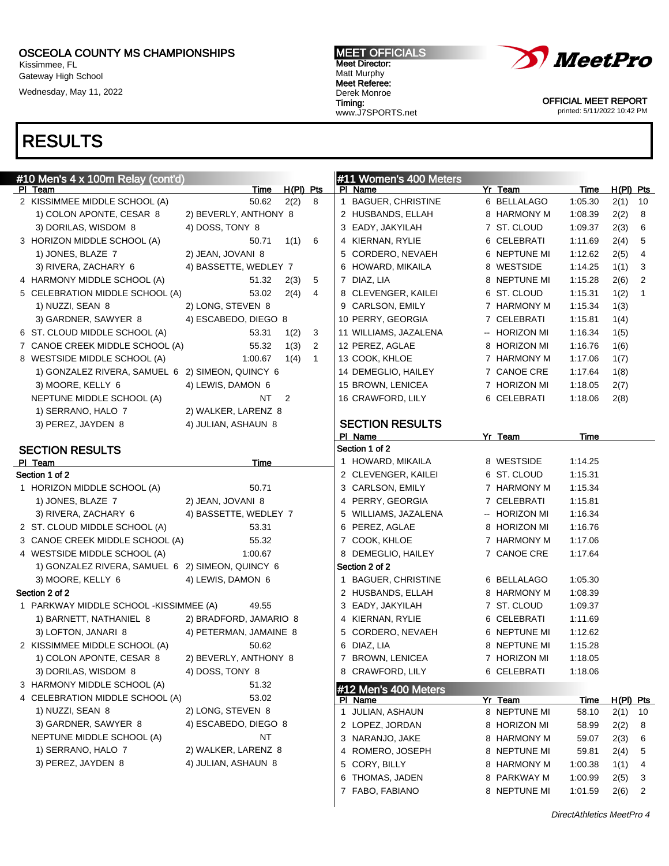Kissimmee, FL Gateway High School Wednesday, May 11, 2022

# RESULTS

MEET OFFICIALS Meet Director: Matt Murphy Meet Referee: Derek Monroe Timing: www.J7SPORTS.net



OFFICIAL MEET REPORT printed: 5/11/2022 10:42 PM

| #10 Men's 4 x 100m Relay (cont'd)                |                        |             |              | #11 Women's 400 Meters |               |             |             |              |
|--------------------------------------------------|------------------------|-------------|--------------|------------------------|---------------|-------------|-------------|--------------|
| PI Team                                          | <u>Time</u>            | $H(PI)$ Pts |              | PI Name                | Yr Team       | <b>Time</b> | $H(PI)$ Pts |              |
| 2 KISSIMMEE MIDDLE SCHOOL (A)                    | 50.62                  | 2(2)        | 8            | 1 BAGUER, CHRISTINE    | 6 BELLALAGO   | 1:05.30     | 2(1)        | 10           |
| 1) COLON APONTE, CESAR 8                         | 2) BEVERLY, ANTHONY 8  |             |              | 2 HUSBANDS, ELLAH      | 8 HARMONY M   | 1:08.39     | 2(2)        | 8            |
| 3) DORILAS, WISDOM 8                             | 4) DOSS, TONY 8        |             |              | 3 EADY, JAKYILAH       | 7 ST. CLOUD   | 1:09.37     | 2(3)        | 6            |
| 3 HORIZON MIDDLE SCHOOL (A)                      | 50.71                  | 1(1)        | 6            | 4 KIERNAN, RYLIE       | 6 CELEBRATI   | 1:11.69     | 2(4)        | 5            |
| 1) JONES, BLAZE 7                                | 2) JEAN, JOVANI 8      |             |              | 5 CORDERO, NEVAEH      | 6 NEPTUNE MI  | 1:12.62     | 2(5)        | 4            |
| 3) RIVERA, ZACHARY 6                             | 4) BASSETTE, WEDLEY 7  |             |              | 6 HOWARD, MIKAILA      | 8 WESTSIDE    | 1:14.25     | 1(1)        | 3            |
| 4 HARMONY MIDDLE SCHOOL (A)                      | 51.32                  | 2(3)        | 5            | 7 DIAZ, LIA            | 8 NEPTUNE MI  | 1:15.28     | 2(6)        | 2            |
| 5 CELEBRATION MIDDLE SCHOOL (A)                  | 53.02                  | 2(4)        | 4            | 8 CLEVENGER, KAILEI    | 6 ST. CLOUD   | 1:15.31     | 1(2)        | $\mathbf{1}$ |
| 1) NUZZI, SEAN 8                                 | 2) LONG, STEVEN 8      |             |              | 9 CARLSON, EMILY       | 7 HARMONY M   | 1:15.34     | 1(3)        |              |
| 3) GARDNER, SAWYER 8                             | 4) ESCABEDO, DIEGO 8   |             |              | 10 PERRY, GEORGIA      | 7 CELEBRATI   | 1:15.81     | 1(4)        |              |
| 6 ST. CLOUD MIDDLE SCHOOL (A)                    | 53.31                  | 1(2)        | 3            | 11 WILLIAMS, JAZALENA  | -- HORIZON MI | 1:16.34     | 1(5)        |              |
| 7 CANOE CREEK MIDDLE SCHOOL (A)                  | 55.32                  | 1(3)        | 2            | 12 PEREZ, AGLAE        | 8 HORIZON MI  | 1:16.76     | 1(6)        |              |
| 8 WESTSIDE MIDDLE SCHOOL (A)                     | 1:00.67                | 1(4)        | $\mathbf{1}$ | 13 COOK, KHLOE         | 7 HARMONY M   | 1:17.06     | 1(7)        |              |
| 1) GONZALEZ RIVERA, SAMUEL 6 2) SIMEON, QUINCY 6 |                        |             |              | 14 DEMEGLIO, HAILEY    | 7 CANOE CRE   | 1:17.64     | 1(8)        |              |
| 3) MOORE, KELLY 6                                | 4) LEWIS, DAMON 6      |             |              | 15 BROWN, LENICEA      | 7 HORIZON MI  | 1:18.05     | 2(7)        |              |
| NEPTUNE MIDDLE SCHOOL (A)                        | NT                     | 2           |              | 16 CRAWFORD, LILY      | 6 CELEBRATI   | 1:18.06     | 2(8)        |              |
| 1) SERRANO, HALO 7                               | 2) WALKER, LARENZ 8    |             |              |                        |               |             |             |              |
| 3) PEREZ, JAYDEN 8                               | 4) JULIAN, ASHAUN 8    |             |              | <b>SECTION RESULTS</b> |               |             |             |              |
|                                                  |                        |             |              | PI Name                | Yr Team       | Time        |             |              |
| <b>SECTION RESULTS</b>                           |                        |             |              | Section 1 of 2         |               |             |             |              |
| PI Team                                          | Time                   |             |              | 1 HOWARD, MIKAILA      | 8 WESTSIDE    | 1:14.25     |             |              |
| Section 1 of 2                                   |                        |             |              | 2 CLEVENGER, KAILEI    | 6 ST. CLOUD   | 1:15.31     |             |              |
| 1 HORIZON MIDDLE SCHOOL (A)                      | 50.71                  |             |              | 3 CARLSON, EMILY       | 7 HARMONY M   | 1:15.34     |             |              |
| 1) JONES, BLAZE 7                                | 2) JEAN, JOVANI 8      |             |              | 4 PERRY, GEORGIA       | 7 CELEBRATI   | 1:15.81     |             |              |
| 3) RIVERA, ZACHARY 6                             | 4) BASSETTE, WEDLEY 7  |             |              | 5 WILLIAMS, JAZALENA   | -- HORIZON MI | 1:16.34     |             |              |
| 2 ST. CLOUD MIDDLE SCHOOL (A)                    | 53.31                  |             |              | 6 PEREZ, AGLAE         | 8 HORIZON MI  | 1:16.76     |             |              |
| 3 CANOE CREEK MIDDLE SCHOOL (A)                  | 55.32                  |             |              | 7 COOK, KHLOE          | 7 HARMONY M   | 1:17.06     |             |              |
| 4 WESTSIDE MIDDLE SCHOOL (A)                     | 1:00.67                |             |              | 8 DEMEGLIO, HAILEY     | 7 CANOE CRE   | 1:17.64     |             |              |
| 1) GONZALEZ RIVERA, SAMUEL 6 2) SIMEON, QUINCY 6 |                        |             |              | Section 2 of 2         |               |             |             |              |
| 3) MOORE, KELLY 6                                | 4) LEWIS, DAMON 6      |             |              | 1 BAGUER, CHRISTINE    | 6 BELLALAGO   | 1:05.30     |             |              |
| Section 2 of 2                                   |                        |             |              | 2 HUSBANDS, ELLAH      | 8 HARMONY M   | 1:08.39     |             |              |
| 1 PARKWAY MIDDLE SCHOOL - KISSIMMEE (A)          | 49.55                  |             |              | 3 EADY, JAKYILAH       | 7 ST. CLOUD   | 1:09.37     |             |              |
| 1) BARNETT, NATHANIEL 8                          | 2) BRADFORD, JAMARIO 8 |             |              | 4 KIERNAN, RYLIE       | 6 CELEBRATI   | 1:11.69     |             |              |
| 3) LOFTON, JANARI 8                              | 4) PETERMAN, JAMAINE 8 |             |              | 5 CORDERO, NEVAEH      | 6 NEPTUNE MI  | 1:12.62     |             |              |
| 2 KISSIMMEE MIDDLE SCHOOL (A)                    | 50.62                  |             |              | 6 DIAZ, LIA            | 8 NEPTUNE MI  | 1:15.28     |             |              |
| 1) COLON APONTE, CESAR 8                         | 2) BEVERLY, ANTHONY 8  |             |              | 7 BROWN, LENICEA       | 7 HORIZON MI  | 1:18.05     |             |              |
| 3) DORILAS, WISDOM 8                             | 4) DOSS, TONY 8        |             |              | 8 CRAWFORD, LILY       | 6 CELEBRATI   | 1:18.06     |             |              |
| 3 HARMONY MIDDLE SCHOOL (A)                      | 51.32                  |             |              | #12 Men's 400 Meters   |               |             |             |              |
| 4 CELEBRATION MIDDLE SCHOOL (A)                  | 53.02                  |             |              | PI Name                | Yr Team       | <u>Time</u> | H(PI) Pts   |              |
| 1) NUZZI, SEAN 8                                 | 2) LONG, STEVEN 8      |             |              | 1 JULIAN, ASHAUN       | 8 NEPTUNE MI  | 58.10       | 2(1)        | 10           |
| 3) GARDNER, SAWYER 8                             | 4) ESCABEDO, DIEGO 8   |             |              | 2 LOPEZ, JORDAN        | 8 HORIZON MI  | 58.99       | 2(2)        | 8            |
| NEPTUNE MIDDLE SCHOOL (A)                        | NT                     |             |              | 3 NARANJO, JAKE        | 8 HARMONY M   | 59.07       | 2(3)        | 6            |
| 1) SERRANO, HALO 7                               | 2) WALKER, LARENZ 8    |             |              | 4 ROMERO, JOSEPH       | 8 NEPTUNE MI  | 59.81       | 2(4)        | 5            |
| 3) PEREZ, JAYDEN 8                               | 4) JULIAN, ASHAUN 8    |             |              | 5 CORY, BILLY          | 8 HARMONY M   | 1:00.38     | 1(1)        | 4            |
|                                                  |                        |             |              | 6 THOMAS, JADEN        | 8 PARKWAY M   | 1:00.99     | 2(5)        | 3            |

7 FABO, FABIANO 8 NEPTUNE MI 1:01.59 2(6) 2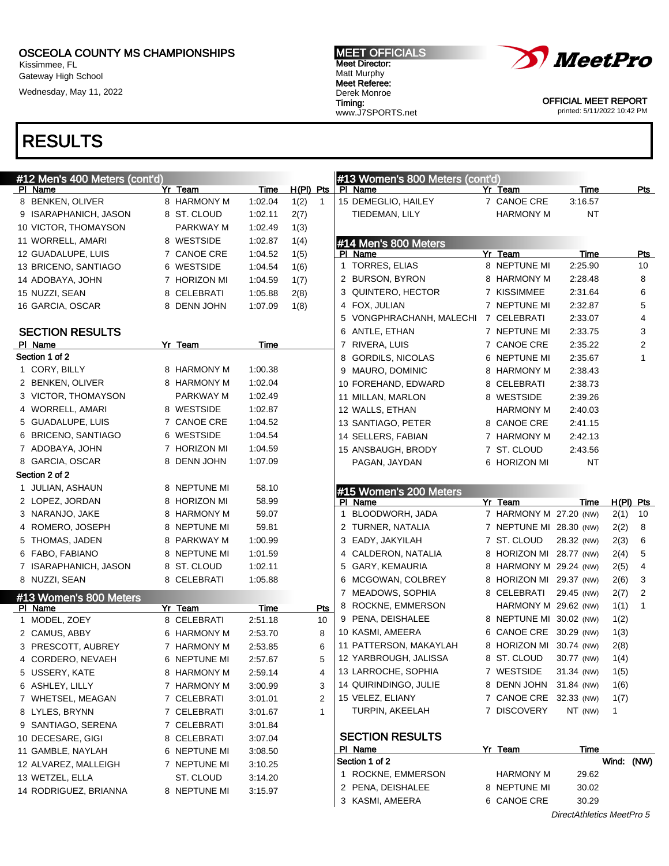Kissimmee, FL Gateway High School

Wednesday, May 11, 2022

#### MEET OFFICIALS Meet Director: Matt Murphy Meet Referee: Derek Monroe Timing: www.J7SPORTS.net



OFFICIAL MEET REPORT printed: 5/11/2022 10:42 PM

| Yr Team<br>$H(PI)$ Pts<br>Time<br>PI Name<br>Time<br>PI Name<br>Yr Team<br>Pts<br>8 BENKEN, OLIVER<br>8 HARMONY M<br>1:02.04<br>1(2)<br>$\mathbf{1}$<br>15 DEMEGLIO, HAILEY<br>7 CANOE CRE<br>3:16.57<br>2(7)<br>NT<br>9 ISARAPHANICH, JASON<br>8 ST. CLOUD<br>1:02.11<br>TIEDEMAN, LILY<br>HARMONY M<br>10 VICTOR, THOMAYSON<br>PARKWAY M<br>1:02.49<br>1(3)<br>8 WESTSIDE<br>1:02.87<br>11 WORRELL, AMARI<br>1(4)<br>#14 Men's 800 Meters<br>Time<br>1:04.52<br>PI Name<br>Yr Team<br>12 GUADALUPE, LUIS<br>7 CANOE CRE<br>1(5)<br><u>Pts</u><br>1 TORRES, ELIAS<br>8 NEPTUNE MI<br>2:25.90<br>10<br>6 WESTSIDE<br>1:04.54<br>13 BRICENO, SANTIAGO<br>1(6)<br>8<br>2 BURSON, BYRON<br>8 HARMONY M<br>2:28.48<br>7 HORIZON MI<br>14 ADOBAYA, JOHN<br>1:04.59<br>1(7)<br>6<br>7 KISSIMMEE<br>3 QUINTERO, HECTOR<br>2:31.64<br>1:05.88<br>2(8)<br>15 NUZZI, SEAN<br>8 CELEBRATI<br>5<br>4 FOX, JULIAN<br>7 NEPTUNE MI<br>2:32.87<br>8 DENN JOHN<br>1:07.09<br>1(8)<br>16 GARCIA, OSCAR<br>4<br>5 VONGPHRACHANH, MALECHI<br>7 CELEBRATI<br>2:33.07<br>3<br><b>SECTION RESULTS</b><br>6 ANTLE, ETHAN<br>7 NEPTUNE MI<br>2:33.75<br>$\overline{2}$<br>Time<br>7 CANOE CRE<br>PI Name<br>Yr Team<br>7 RIVERA, LUIS<br>2:35.22<br>Section 1 of 2<br>$\mathbf{1}$<br>8 GORDILS, NICOLAS<br>6 NEPTUNE MI<br>2:35.67<br>1 CORY, BILLY<br>8 HARMONY M<br>1:00.38<br>9 MAURO, DOMINIC<br>8 HARMONY M<br>2:38.43<br>8 HARMONY M<br>2 BENKEN, OLIVER<br>1:02.04<br>10 FOREHAND, EDWARD<br>8 CELEBRATI<br>2:38.73<br>PARKWAY M<br>3 VICTOR, THOMAYSON<br>1:02.49<br>8 WESTSIDE<br>11 MILLAN, MARLON<br>2:39.26<br>4 WORRELL, AMARI<br>8 WESTSIDE<br>1:02.87<br>12 WALLS, ETHAN<br>HARMONY M<br>2:40.03<br>5 GUADALUPE, LUIS<br>7 CANOE CRE<br>1:04.52<br>8 CANOE CRE<br>13 SANTIAGO, PETER<br>2:41.15<br>6 BRICENO, SANTIAGO<br>6 WESTSIDE<br>1:04.54<br>14 SELLERS, FABIAN<br>7 HARMONY M<br>2:42.13<br>7 HORIZON MI<br>7 ADOBAYA, JOHN<br>1:04.59<br>7 ST. CLOUD<br>15 ANSBAUGH, BRODY<br>2:43.56<br>8 DENN JOHN<br>8 GARCIA, OSCAR<br>1:07.09<br>NT<br>6 HORIZON MI<br>PAGAN, JAYDAN<br>Section 2 of 2<br>8 NEPTUNE MI<br>58.10<br>1 JULIAN, ASHAUN<br>#15 Women's 200 Meters<br>8 HORIZON MI<br>58.99<br>2 LOPEZ, JORDAN<br>PI Name<br>$H(PI)$ Pts<br>Yr Team<br>Time<br>8 HARMONY M<br>BLOODWORH, JADA<br>7 HARMONY M 27.20 (NW)<br>3 NARANJO, JAKE<br>59.07<br>2(1)<br>10<br>1<br>4 ROMERO, JOSEPH<br>8 NEPTUNE MI<br>2 TURNER, NATALIA<br>2(2)<br>8<br>59.81<br>7 NEPTUNE MI 28.30 (NW)<br>5 THOMAS, JADEN<br>8 PARKWAY M<br>7 ST. CLOUD<br>6<br>1:00.99<br>3 EADY, JAKYILAH<br>28.32 (NW)<br>2(3)<br>5<br>6 FABO, FABIANO<br>8 NEPTUNE MI<br>4 CALDERON, NATALIA<br>8 HORIZON MI 28.77 (NW)<br>2(4)<br>1:01.59<br>4<br>8 ST. CLOUD<br>GARY, KEMAURIA<br>2(5)<br>7 ISARAPHANICH, JASON<br>1:02.11<br>5<br>8 HARMONY M 29.24 (NW)<br>8 NUZZI, SEAN<br>8 CELEBRATI<br>3<br>1:05.88<br>6 MCGOWAN, COLBREY<br>8 HORIZON MI 29.37 (NW)<br>2(6)<br>$\overline{2}$<br>8 CELEBRATI<br>2(7)<br>7 MEADOWS, SOPHIA<br>29.45 (NW)<br>#13 Women's 800 Meters<br>8 ROCKNE, EMMERSON<br>HARMONY M 29.62 (NW)<br>1(1)<br>1<br>Yr Team<br>Time<br>Pts<br>PI Name<br>9 PENA, DEISHALEE<br>8 NEPTUNE MI 30.02 (NW)<br>1(2)<br>1 MODEL, ZOEY<br>8 CELEBRATI<br>2:51.18<br>10<br>10 KASMI, AMEERA<br>6 CANOE CRE 30.29 (NW)<br>1(3)<br>8<br>2 CAMUS, ABBY<br>6 HARMONY M<br>2:53.70<br>11 PATTERSON, MAKAYLAH<br>8 HORIZON MI 30.74 (NW)<br>2(8)<br>6<br>3 PRESCOTT, AUBREY<br>7 HARMONY M<br>2:53.85<br>12 YARBROUGH, JALISSA<br>1(4)<br>8 ST. CLOUD<br>30.77 (NW)<br>4 CORDERO, NEVAEH<br>6 NEPTUNE MI<br>2:57.67<br>5<br>13 LARROCHE, SOPHIA<br>7 WESTSIDE<br>31.34 (NW)<br>1(5)<br>5 USSERY, KATE<br>8 HARMONY M<br>2:59.14<br>4<br>14 QUIRINDINGO, JULIE<br>8 DENN JOHN<br>31.84 (NW)<br>1(6)<br>3<br>6 ASHLEY, LILLY<br>7 HARMONY M<br>3:00.99<br>15 VELEZ, ELIANY<br>7 CANOE CRE 32.33 (NW)<br>1(7)<br>2<br>7 WHETSEL, MEAGAN<br>7 CELEBRATI<br>3:01.01<br>7 DISCOVERY<br>TURPIN, AKEELAH<br>NT (NW)<br>1<br>$\mathbf{1}$<br>8 LYLES, BRYNN<br>7 CELEBRATI<br>3:01.67<br>9 SANTIAGO, SERENA<br>7 CELEBRATI<br>3:01.84<br><b>SECTION RESULTS</b><br>10 DECESARE, GIGI<br>8 CELEBRATI<br>3:07.04<br>Yr Team<br><b>PI</b> Name<br>Time<br>11 GAMBLE, NAYLAH<br>6 NEPTUNE MI<br>3:08.50<br>Wind: (NW)<br>Section 1 of 2<br>12 ALVAREZ, MALLEIGH<br>7 NEPTUNE MI<br>3:10.25<br>1 ROCKNE, EMMERSON<br><b>HARMONY M</b><br>29.62<br>13 WETZEL, ELLA<br>ST. CLOUD<br>3:14.20<br>2 PENA, DEISHALEE<br>8 NEPTUNE MI<br>30.02<br>14 RODRIGUEZ, BRIANNA<br>8 NEPTUNE MI<br>3:15.97<br>3 KASMI, AMEERA<br>6 CANOE CRE<br>30.29<br>DirectAthletics MeetPro 5 | #12 Men's 400 Meters (cont'd) |  |  | #13 Women's 800 Meters (cont'd) |  |  |  |
|---------------------------------------------------------------------------------------------------------------------------------------------------------------------------------------------------------------------------------------------------------------------------------------------------------------------------------------------------------------------------------------------------------------------------------------------------------------------------------------------------------------------------------------------------------------------------------------------------------------------------------------------------------------------------------------------------------------------------------------------------------------------------------------------------------------------------------------------------------------------------------------------------------------------------------------------------------------------------------------------------------------------------------------------------------------------------------------------------------------------------------------------------------------------------------------------------------------------------------------------------------------------------------------------------------------------------------------------------------------------------------------------------------------------------------------------------------------------------------------------------------------------------------------------------------------------------------------------------------------------------------------------------------------------------------------------------------------------------------------------------------------------------------------------------------------------------------------------------------------------------------------------------------------------------------------------------------------------------------------------------------------------------------------------------------------------------------------------------------------------------------------------------------------------------------------------------------------------------------------------------------------------------------------------------------------------------------------------------------------------------------------------------------------------------------------------------------------------------------------------------------------------------------------------------------------------------------------------------------------------------------------------------------------------------------------------------------------------------------------------------------------------------------------------------------------------------------------------------------------------------------------------------------------------------------------------------------------------------------------------------------------------------------------------------------------------------------------------------------------------------------------------------------------------------------------------------------------------------------------------------------------------------------------------------------------------------------------------------------------------------------------------------------------------------------------------------------------------------------------------------------------------------------------------------------------------------------------------------------------------------------------------------------------------------------------------------------------------------------------------------------------------------------------------------------------------------------------------------------------------------------------------------------------------------------------------------------------------------------------------------------------------------------------------------------------------------------------------------------------------------------------------------------------------------------------------------------------------------------------------------------------------------------------------------------------------------------------------------------------------------------------------------------------------------------------------------------------------------------------------------------------------------------------------------------------------------------------------------------------------------|-------------------------------|--|--|---------------------------------|--|--|--|
|                                                                                                                                                                                                                                                                                                                                                                                                                                                                                                                                                                                                                                                                                                                                                                                                                                                                                                                                                                                                                                                                                                                                                                                                                                                                                                                                                                                                                                                                                                                                                                                                                                                                                                                                                                                                                                                                                                                                                                                                                                                                                                                                                                                                                                                                                                                                                                                                                                                                                                                                                                                                                                                                                                                                                                                                                                                                                                                                                                                                                                                                                                                                                                                                                                                                                                                                                                                                                                                                                                                                                                                                                                                                                                                                                                                                                                                                                                                                                                                                                                                                                                                                                                                                                                                                                                                                                                                                                                                                                                                                                                                                                           |                               |  |  |                                 |  |  |  |
|                                                                                                                                                                                                                                                                                                                                                                                                                                                                                                                                                                                                                                                                                                                                                                                                                                                                                                                                                                                                                                                                                                                                                                                                                                                                                                                                                                                                                                                                                                                                                                                                                                                                                                                                                                                                                                                                                                                                                                                                                                                                                                                                                                                                                                                                                                                                                                                                                                                                                                                                                                                                                                                                                                                                                                                                                                                                                                                                                                                                                                                                                                                                                                                                                                                                                                                                                                                                                                                                                                                                                                                                                                                                                                                                                                                                                                                                                                                                                                                                                                                                                                                                                                                                                                                                                                                                                                                                                                                                                                                                                                                                                           |                               |  |  |                                 |  |  |  |
|                                                                                                                                                                                                                                                                                                                                                                                                                                                                                                                                                                                                                                                                                                                                                                                                                                                                                                                                                                                                                                                                                                                                                                                                                                                                                                                                                                                                                                                                                                                                                                                                                                                                                                                                                                                                                                                                                                                                                                                                                                                                                                                                                                                                                                                                                                                                                                                                                                                                                                                                                                                                                                                                                                                                                                                                                                                                                                                                                                                                                                                                                                                                                                                                                                                                                                                                                                                                                                                                                                                                                                                                                                                                                                                                                                                                                                                                                                                                                                                                                                                                                                                                                                                                                                                                                                                                                                                                                                                                                                                                                                                                                           |                               |  |  |                                 |  |  |  |
|                                                                                                                                                                                                                                                                                                                                                                                                                                                                                                                                                                                                                                                                                                                                                                                                                                                                                                                                                                                                                                                                                                                                                                                                                                                                                                                                                                                                                                                                                                                                                                                                                                                                                                                                                                                                                                                                                                                                                                                                                                                                                                                                                                                                                                                                                                                                                                                                                                                                                                                                                                                                                                                                                                                                                                                                                                                                                                                                                                                                                                                                                                                                                                                                                                                                                                                                                                                                                                                                                                                                                                                                                                                                                                                                                                                                                                                                                                                                                                                                                                                                                                                                                                                                                                                                                                                                                                                                                                                                                                                                                                                                                           |                               |  |  |                                 |  |  |  |
|                                                                                                                                                                                                                                                                                                                                                                                                                                                                                                                                                                                                                                                                                                                                                                                                                                                                                                                                                                                                                                                                                                                                                                                                                                                                                                                                                                                                                                                                                                                                                                                                                                                                                                                                                                                                                                                                                                                                                                                                                                                                                                                                                                                                                                                                                                                                                                                                                                                                                                                                                                                                                                                                                                                                                                                                                                                                                                                                                                                                                                                                                                                                                                                                                                                                                                                                                                                                                                                                                                                                                                                                                                                                                                                                                                                                                                                                                                                                                                                                                                                                                                                                                                                                                                                                                                                                                                                                                                                                                                                                                                                                                           |                               |  |  |                                 |  |  |  |
|                                                                                                                                                                                                                                                                                                                                                                                                                                                                                                                                                                                                                                                                                                                                                                                                                                                                                                                                                                                                                                                                                                                                                                                                                                                                                                                                                                                                                                                                                                                                                                                                                                                                                                                                                                                                                                                                                                                                                                                                                                                                                                                                                                                                                                                                                                                                                                                                                                                                                                                                                                                                                                                                                                                                                                                                                                                                                                                                                                                                                                                                                                                                                                                                                                                                                                                                                                                                                                                                                                                                                                                                                                                                                                                                                                                                                                                                                                                                                                                                                                                                                                                                                                                                                                                                                                                                                                                                                                                                                                                                                                                                                           |                               |  |  |                                 |  |  |  |
|                                                                                                                                                                                                                                                                                                                                                                                                                                                                                                                                                                                                                                                                                                                                                                                                                                                                                                                                                                                                                                                                                                                                                                                                                                                                                                                                                                                                                                                                                                                                                                                                                                                                                                                                                                                                                                                                                                                                                                                                                                                                                                                                                                                                                                                                                                                                                                                                                                                                                                                                                                                                                                                                                                                                                                                                                                                                                                                                                                                                                                                                                                                                                                                                                                                                                                                                                                                                                                                                                                                                                                                                                                                                                                                                                                                                                                                                                                                                                                                                                                                                                                                                                                                                                                                                                                                                                                                                                                                                                                                                                                                                                           |                               |  |  |                                 |  |  |  |
|                                                                                                                                                                                                                                                                                                                                                                                                                                                                                                                                                                                                                                                                                                                                                                                                                                                                                                                                                                                                                                                                                                                                                                                                                                                                                                                                                                                                                                                                                                                                                                                                                                                                                                                                                                                                                                                                                                                                                                                                                                                                                                                                                                                                                                                                                                                                                                                                                                                                                                                                                                                                                                                                                                                                                                                                                                                                                                                                                                                                                                                                                                                                                                                                                                                                                                                                                                                                                                                                                                                                                                                                                                                                                                                                                                                                                                                                                                                                                                                                                                                                                                                                                                                                                                                                                                                                                                                                                                                                                                                                                                                                                           |                               |  |  |                                 |  |  |  |
|                                                                                                                                                                                                                                                                                                                                                                                                                                                                                                                                                                                                                                                                                                                                                                                                                                                                                                                                                                                                                                                                                                                                                                                                                                                                                                                                                                                                                                                                                                                                                                                                                                                                                                                                                                                                                                                                                                                                                                                                                                                                                                                                                                                                                                                                                                                                                                                                                                                                                                                                                                                                                                                                                                                                                                                                                                                                                                                                                                                                                                                                                                                                                                                                                                                                                                                                                                                                                                                                                                                                                                                                                                                                                                                                                                                                                                                                                                                                                                                                                                                                                                                                                                                                                                                                                                                                                                                                                                                                                                                                                                                                                           |                               |  |  |                                 |  |  |  |
|                                                                                                                                                                                                                                                                                                                                                                                                                                                                                                                                                                                                                                                                                                                                                                                                                                                                                                                                                                                                                                                                                                                                                                                                                                                                                                                                                                                                                                                                                                                                                                                                                                                                                                                                                                                                                                                                                                                                                                                                                                                                                                                                                                                                                                                                                                                                                                                                                                                                                                                                                                                                                                                                                                                                                                                                                                                                                                                                                                                                                                                                                                                                                                                                                                                                                                                                                                                                                                                                                                                                                                                                                                                                                                                                                                                                                                                                                                                                                                                                                                                                                                                                                                                                                                                                                                                                                                                                                                                                                                                                                                                                                           |                               |  |  |                                 |  |  |  |
|                                                                                                                                                                                                                                                                                                                                                                                                                                                                                                                                                                                                                                                                                                                                                                                                                                                                                                                                                                                                                                                                                                                                                                                                                                                                                                                                                                                                                                                                                                                                                                                                                                                                                                                                                                                                                                                                                                                                                                                                                                                                                                                                                                                                                                                                                                                                                                                                                                                                                                                                                                                                                                                                                                                                                                                                                                                                                                                                                                                                                                                                                                                                                                                                                                                                                                                                                                                                                                                                                                                                                                                                                                                                                                                                                                                                                                                                                                                                                                                                                                                                                                                                                                                                                                                                                                                                                                                                                                                                                                                                                                                                                           |                               |  |  |                                 |  |  |  |
|                                                                                                                                                                                                                                                                                                                                                                                                                                                                                                                                                                                                                                                                                                                                                                                                                                                                                                                                                                                                                                                                                                                                                                                                                                                                                                                                                                                                                                                                                                                                                                                                                                                                                                                                                                                                                                                                                                                                                                                                                                                                                                                                                                                                                                                                                                                                                                                                                                                                                                                                                                                                                                                                                                                                                                                                                                                                                                                                                                                                                                                                                                                                                                                                                                                                                                                                                                                                                                                                                                                                                                                                                                                                                                                                                                                                                                                                                                                                                                                                                                                                                                                                                                                                                                                                                                                                                                                                                                                                                                                                                                                                                           |                               |  |  |                                 |  |  |  |
|                                                                                                                                                                                                                                                                                                                                                                                                                                                                                                                                                                                                                                                                                                                                                                                                                                                                                                                                                                                                                                                                                                                                                                                                                                                                                                                                                                                                                                                                                                                                                                                                                                                                                                                                                                                                                                                                                                                                                                                                                                                                                                                                                                                                                                                                                                                                                                                                                                                                                                                                                                                                                                                                                                                                                                                                                                                                                                                                                                                                                                                                                                                                                                                                                                                                                                                                                                                                                                                                                                                                                                                                                                                                                                                                                                                                                                                                                                                                                                                                                                                                                                                                                                                                                                                                                                                                                                                                                                                                                                                                                                                                                           |                               |  |  |                                 |  |  |  |
|                                                                                                                                                                                                                                                                                                                                                                                                                                                                                                                                                                                                                                                                                                                                                                                                                                                                                                                                                                                                                                                                                                                                                                                                                                                                                                                                                                                                                                                                                                                                                                                                                                                                                                                                                                                                                                                                                                                                                                                                                                                                                                                                                                                                                                                                                                                                                                                                                                                                                                                                                                                                                                                                                                                                                                                                                                                                                                                                                                                                                                                                                                                                                                                                                                                                                                                                                                                                                                                                                                                                                                                                                                                                                                                                                                                                                                                                                                                                                                                                                                                                                                                                                                                                                                                                                                                                                                                                                                                                                                                                                                                                                           |                               |  |  |                                 |  |  |  |
|                                                                                                                                                                                                                                                                                                                                                                                                                                                                                                                                                                                                                                                                                                                                                                                                                                                                                                                                                                                                                                                                                                                                                                                                                                                                                                                                                                                                                                                                                                                                                                                                                                                                                                                                                                                                                                                                                                                                                                                                                                                                                                                                                                                                                                                                                                                                                                                                                                                                                                                                                                                                                                                                                                                                                                                                                                                                                                                                                                                                                                                                                                                                                                                                                                                                                                                                                                                                                                                                                                                                                                                                                                                                                                                                                                                                                                                                                                                                                                                                                                                                                                                                                                                                                                                                                                                                                                                                                                                                                                                                                                                                                           |                               |  |  |                                 |  |  |  |
|                                                                                                                                                                                                                                                                                                                                                                                                                                                                                                                                                                                                                                                                                                                                                                                                                                                                                                                                                                                                                                                                                                                                                                                                                                                                                                                                                                                                                                                                                                                                                                                                                                                                                                                                                                                                                                                                                                                                                                                                                                                                                                                                                                                                                                                                                                                                                                                                                                                                                                                                                                                                                                                                                                                                                                                                                                                                                                                                                                                                                                                                                                                                                                                                                                                                                                                                                                                                                                                                                                                                                                                                                                                                                                                                                                                                                                                                                                                                                                                                                                                                                                                                                                                                                                                                                                                                                                                                                                                                                                                                                                                                                           |                               |  |  |                                 |  |  |  |
|                                                                                                                                                                                                                                                                                                                                                                                                                                                                                                                                                                                                                                                                                                                                                                                                                                                                                                                                                                                                                                                                                                                                                                                                                                                                                                                                                                                                                                                                                                                                                                                                                                                                                                                                                                                                                                                                                                                                                                                                                                                                                                                                                                                                                                                                                                                                                                                                                                                                                                                                                                                                                                                                                                                                                                                                                                                                                                                                                                                                                                                                                                                                                                                                                                                                                                                                                                                                                                                                                                                                                                                                                                                                                                                                                                                                                                                                                                                                                                                                                                                                                                                                                                                                                                                                                                                                                                                                                                                                                                                                                                                                                           |                               |  |  |                                 |  |  |  |
|                                                                                                                                                                                                                                                                                                                                                                                                                                                                                                                                                                                                                                                                                                                                                                                                                                                                                                                                                                                                                                                                                                                                                                                                                                                                                                                                                                                                                                                                                                                                                                                                                                                                                                                                                                                                                                                                                                                                                                                                                                                                                                                                                                                                                                                                                                                                                                                                                                                                                                                                                                                                                                                                                                                                                                                                                                                                                                                                                                                                                                                                                                                                                                                                                                                                                                                                                                                                                                                                                                                                                                                                                                                                                                                                                                                                                                                                                                                                                                                                                                                                                                                                                                                                                                                                                                                                                                                                                                                                                                                                                                                                                           |                               |  |  |                                 |  |  |  |
|                                                                                                                                                                                                                                                                                                                                                                                                                                                                                                                                                                                                                                                                                                                                                                                                                                                                                                                                                                                                                                                                                                                                                                                                                                                                                                                                                                                                                                                                                                                                                                                                                                                                                                                                                                                                                                                                                                                                                                                                                                                                                                                                                                                                                                                                                                                                                                                                                                                                                                                                                                                                                                                                                                                                                                                                                                                                                                                                                                                                                                                                                                                                                                                                                                                                                                                                                                                                                                                                                                                                                                                                                                                                                                                                                                                                                                                                                                                                                                                                                                                                                                                                                                                                                                                                                                                                                                                                                                                                                                                                                                                                                           |                               |  |  |                                 |  |  |  |
|                                                                                                                                                                                                                                                                                                                                                                                                                                                                                                                                                                                                                                                                                                                                                                                                                                                                                                                                                                                                                                                                                                                                                                                                                                                                                                                                                                                                                                                                                                                                                                                                                                                                                                                                                                                                                                                                                                                                                                                                                                                                                                                                                                                                                                                                                                                                                                                                                                                                                                                                                                                                                                                                                                                                                                                                                                                                                                                                                                                                                                                                                                                                                                                                                                                                                                                                                                                                                                                                                                                                                                                                                                                                                                                                                                                                                                                                                                                                                                                                                                                                                                                                                                                                                                                                                                                                                                                                                                                                                                                                                                                                                           |                               |  |  |                                 |  |  |  |
|                                                                                                                                                                                                                                                                                                                                                                                                                                                                                                                                                                                                                                                                                                                                                                                                                                                                                                                                                                                                                                                                                                                                                                                                                                                                                                                                                                                                                                                                                                                                                                                                                                                                                                                                                                                                                                                                                                                                                                                                                                                                                                                                                                                                                                                                                                                                                                                                                                                                                                                                                                                                                                                                                                                                                                                                                                                                                                                                                                                                                                                                                                                                                                                                                                                                                                                                                                                                                                                                                                                                                                                                                                                                                                                                                                                                                                                                                                                                                                                                                                                                                                                                                                                                                                                                                                                                                                                                                                                                                                                                                                                                                           |                               |  |  |                                 |  |  |  |
|                                                                                                                                                                                                                                                                                                                                                                                                                                                                                                                                                                                                                                                                                                                                                                                                                                                                                                                                                                                                                                                                                                                                                                                                                                                                                                                                                                                                                                                                                                                                                                                                                                                                                                                                                                                                                                                                                                                                                                                                                                                                                                                                                                                                                                                                                                                                                                                                                                                                                                                                                                                                                                                                                                                                                                                                                                                                                                                                                                                                                                                                                                                                                                                                                                                                                                                                                                                                                                                                                                                                                                                                                                                                                                                                                                                                                                                                                                                                                                                                                                                                                                                                                                                                                                                                                                                                                                                                                                                                                                                                                                                                                           |                               |  |  |                                 |  |  |  |
|                                                                                                                                                                                                                                                                                                                                                                                                                                                                                                                                                                                                                                                                                                                                                                                                                                                                                                                                                                                                                                                                                                                                                                                                                                                                                                                                                                                                                                                                                                                                                                                                                                                                                                                                                                                                                                                                                                                                                                                                                                                                                                                                                                                                                                                                                                                                                                                                                                                                                                                                                                                                                                                                                                                                                                                                                                                                                                                                                                                                                                                                                                                                                                                                                                                                                                                                                                                                                                                                                                                                                                                                                                                                                                                                                                                                                                                                                                                                                                                                                                                                                                                                                                                                                                                                                                                                                                                                                                                                                                                                                                                                                           |                               |  |  |                                 |  |  |  |
|                                                                                                                                                                                                                                                                                                                                                                                                                                                                                                                                                                                                                                                                                                                                                                                                                                                                                                                                                                                                                                                                                                                                                                                                                                                                                                                                                                                                                                                                                                                                                                                                                                                                                                                                                                                                                                                                                                                                                                                                                                                                                                                                                                                                                                                                                                                                                                                                                                                                                                                                                                                                                                                                                                                                                                                                                                                                                                                                                                                                                                                                                                                                                                                                                                                                                                                                                                                                                                                                                                                                                                                                                                                                                                                                                                                                                                                                                                                                                                                                                                                                                                                                                                                                                                                                                                                                                                                                                                                                                                                                                                                                                           |                               |  |  |                                 |  |  |  |
|                                                                                                                                                                                                                                                                                                                                                                                                                                                                                                                                                                                                                                                                                                                                                                                                                                                                                                                                                                                                                                                                                                                                                                                                                                                                                                                                                                                                                                                                                                                                                                                                                                                                                                                                                                                                                                                                                                                                                                                                                                                                                                                                                                                                                                                                                                                                                                                                                                                                                                                                                                                                                                                                                                                                                                                                                                                                                                                                                                                                                                                                                                                                                                                                                                                                                                                                                                                                                                                                                                                                                                                                                                                                                                                                                                                                                                                                                                                                                                                                                                                                                                                                                                                                                                                                                                                                                                                                                                                                                                                                                                                                                           |                               |  |  |                                 |  |  |  |
|                                                                                                                                                                                                                                                                                                                                                                                                                                                                                                                                                                                                                                                                                                                                                                                                                                                                                                                                                                                                                                                                                                                                                                                                                                                                                                                                                                                                                                                                                                                                                                                                                                                                                                                                                                                                                                                                                                                                                                                                                                                                                                                                                                                                                                                                                                                                                                                                                                                                                                                                                                                                                                                                                                                                                                                                                                                                                                                                                                                                                                                                                                                                                                                                                                                                                                                                                                                                                                                                                                                                                                                                                                                                                                                                                                                                                                                                                                                                                                                                                                                                                                                                                                                                                                                                                                                                                                                                                                                                                                                                                                                                                           |                               |  |  |                                 |  |  |  |
|                                                                                                                                                                                                                                                                                                                                                                                                                                                                                                                                                                                                                                                                                                                                                                                                                                                                                                                                                                                                                                                                                                                                                                                                                                                                                                                                                                                                                                                                                                                                                                                                                                                                                                                                                                                                                                                                                                                                                                                                                                                                                                                                                                                                                                                                                                                                                                                                                                                                                                                                                                                                                                                                                                                                                                                                                                                                                                                                                                                                                                                                                                                                                                                                                                                                                                                                                                                                                                                                                                                                                                                                                                                                                                                                                                                                                                                                                                                                                                                                                                                                                                                                                                                                                                                                                                                                                                                                                                                                                                                                                                                                                           |                               |  |  |                                 |  |  |  |
|                                                                                                                                                                                                                                                                                                                                                                                                                                                                                                                                                                                                                                                                                                                                                                                                                                                                                                                                                                                                                                                                                                                                                                                                                                                                                                                                                                                                                                                                                                                                                                                                                                                                                                                                                                                                                                                                                                                                                                                                                                                                                                                                                                                                                                                                                                                                                                                                                                                                                                                                                                                                                                                                                                                                                                                                                                                                                                                                                                                                                                                                                                                                                                                                                                                                                                                                                                                                                                                                                                                                                                                                                                                                                                                                                                                                                                                                                                                                                                                                                                                                                                                                                                                                                                                                                                                                                                                                                                                                                                                                                                                                                           |                               |  |  |                                 |  |  |  |
|                                                                                                                                                                                                                                                                                                                                                                                                                                                                                                                                                                                                                                                                                                                                                                                                                                                                                                                                                                                                                                                                                                                                                                                                                                                                                                                                                                                                                                                                                                                                                                                                                                                                                                                                                                                                                                                                                                                                                                                                                                                                                                                                                                                                                                                                                                                                                                                                                                                                                                                                                                                                                                                                                                                                                                                                                                                                                                                                                                                                                                                                                                                                                                                                                                                                                                                                                                                                                                                                                                                                                                                                                                                                                                                                                                                                                                                                                                                                                                                                                                                                                                                                                                                                                                                                                                                                                                                                                                                                                                                                                                                                                           |                               |  |  |                                 |  |  |  |
|                                                                                                                                                                                                                                                                                                                                                                                                                                                                                                                                                                                                                                                                                                                                                                                                                                                                                                                                                                                                                                                                                                                                                                                                                                                                                                                                                                                                                                                                                                                                                                                                                                                                                                                                                                                                                                                                                                                                                                                                                                                                                                                                                                                                                                                                                                                                                                                                                                                                                                                                                                                                                                                                                                                                                                                                                                                                                                                                                                                                                                                                                                                                                                                                                                                                                                                                                                                                                                                                                                                                                                                                                                                                                                                                                                                                                                                                                                                                                                                                                                                                                                                                                                                                                                                                                                                                                                                                                                                                                                                                                                                                                           |                               |  |  |                                 |  |  |  |
|                                                                                                                                                                                                                                                                                                                                                                                                                                                                                                                                                                                                                                                                                                                                                                                                                                                                                                                                                                                                                                                                                                                                                                                                                                                                                                                                                                                                                                                                                                                                                                                                                                                                                                                                                                                                                                                                                                                                                                                                                                                                                                                                                                                                                                                                                                                                                                                                                                                                                                                                                                                                                                                                                                                                                                                                                                                                                                                                                                                                                                                                                                                                                                                                                                                                                                                                                                                                                                                                                                                                                                                                                                                                                                                                                                                                                                                                                                                                                                                                                                                                                                                                                                                                                                                                                                                                                                                                                                                                                                                                                                                                                           |                               |  |  |                                 |  |  |  |
|                                                                                                                                                                                                                                                                                                                                                                                                                                                                                                                                                                                                                                                                                                                                                                                                                                                                                                                                                                                                                                                                                                                                                                                                                                                                                                                                                                                                                                                                                                                                                                                                                                                                                                                                                                                                                                                                                                                                                                                                                                                                                                                                                                                                                                                                                                                                                                                                                                                                                                                                                                                                                                                                                                                                                                                                                                                                                                                                                                                                                                                                                                                                                                                                                                                                                                                                                                                                                                                                                                                                                                                                                                                                                                                                                                                                                                                                                                                                                                                                                                                                                                                                                                                                                                                                                                                                                                                                                                                                                                                                                                                                                           |                               |  |  |                                 |  |  |  |
|                                                                                                                                                                                                                                                                                                                                                                                                                                                                                                                                                                                                                                                                                                                                                                                                                                                                                                                                                                                                                                                                                                                                                                                                                                                                                                                                                                                                                                                                                                                                                                                                                                                                                                                                                                                                                                                                                                                                                                                                                                                                                                                                                                                                                                                                                                                                                                                                                                                                                                                                                                                                                                                                                                                                                                                                                                                                                                                                                                                                                                                                                                                                                                                                                                                                                                                                                                                                                                                                                                                                                                                                                                                                                                                                                                                                                                                                                                                                                                                                                                                                                                                                                                                                                                                                                                                                                                                                                                                                                                                                                                                                                           |                               |  |  |                                 |  |  |  |
|                                                                                                                                                                                                                                                                                                                                                                                                                                                                                                                                                                                                                                                                                                                                                                                                                                                                                                                                                                                                                                                                                                                                                                                                                                                                                                                                                                                                                                                                                                                                                                                                                                                                                                                                                                                                                                                                                                                                                                                                                                                                                                                                                                                                                                                                                                                                                                                                                                                                                                                                                                                                                                                                                                                                                                                                                                                                                                                                                                                                                                                                                                                                                                                                                                                                                                                                                                                                                                                                                                                                                                                                                                                                                                                                                                                                                                                                                                                                                                                                                                                                                                                                                                                                                                                                                                                                                                                                                                                                                                                                                                                                                           |                               |  |  |                                 |  |  |  |
|                                                                                                                                                                                                                                                                                                                                                                                                                                                                                                                                                                                                                                                                                                                                                                                                                                                                                                                                                                                                                                                                                                                                                                                                                                                                                                                                                                                                                                                                                                                                                                                                                                                                                                                                                                                                                                                                                                                                                                                                                                                                                                                                                                                                                                                                                                                                                                                                                                                                                                                                                                                                                                                                                                                                                                                                                                                                                                                                                                                                                                                                                                                                                                                                                                                                                                                                                                                                                                                                                                                                                                                                                                                                                                                                                                                                                                                                                                                                                                                                                                                                                                                                                                                                                                                                                                                                                                                                                                                                                                                                                                                                                           |                               |  |  |                                 |  |  |  |
|                                                                                                                                                                                                                                                                                                                                                                                                                                                                                                                                                                                                                                                                                                                                                                                                                                                                                                                                                                                                                                                                                                                                                                                                                                                                                                                                                                                                                                                                                                                                                                                                                                                                                                                                                                                                                                                                                                                                                                                                                                                                                                                                                                                                                                                                                                                                                                                                                                                                                                                                                                                                                                                                                                                                                                                                                                                                                                                                                                                                                                                                                                                                                                                                                                                                                                                                                                                                                                                                                                                                                                                                                                                                                                                                                                                                                                                                                                                                                                                                                                                                                                                                                                                                                                                                                                                                                                                                                                                                                                                                                                                                                           |                               |  |  |                                 |  |  |  |
|                                                                                                                                                                                                                                                                                                                                                                                                                                                                                                                                                                                                                                                                                                                                                                                                                                                                                                                                                                                                                                                                                                                                                                                                                                                                                                                                                                                                                                                                                                                                                                                                                                                                                                                                                                                                                                                                                                                                                                                                                                                                                                                                                                                                                                                                                                                                                                                                                                                                                                                                                                                                                                                                                                                                                                                                                                                                                                                                                                                                                                                                                                                                                                                                                                                                                                                                                                                                                                                                                                                                                                                                                                                                                                                                                                                                                                                                                                                                                                                                                                                                                                                                                                                                                                                                                                                                                                                                                                                                                                                                                                                                                           |                               |  |  |                                 |  |  |  |
|                                                                                                                                                                                                                                                                                                                                                                                                                                                                                                                                                                                                                                                                                                                                                                                                                                                                                                                                                                                                                                                                                                                                                                                                                                                                                                                                                                                                                                                                                                                                                                                                                                                                                                                                                                                                                                                                                                                                                                                                                                                                                                                                                                                                                                                                                                                                                                                                                                                                                                                                                                                                                                                                                                                                                                                                                                                                                                                                                                                                                                                                                                                                                                                                                                                                                                                                                                                                                                                                                                                                                                                                                                                                                                                                                                                                                                                                                                                                                                                                                                                                                                                                                                                                                                                                                                                                                                                                                                                                                                                                                                                                                           |                               |  |  |                                 |  |  |  |
|                                                                                                                                                                                                                                                                                                                                                                                                                                                                                                                                                                                                                                                                                                                                                                                                                                                                                                                                                                                                                                                                                                                                                                                                                                                                                                                                                                                                                                                                                                                                                                                                                                                                                                                                                                                                                                                                                                                                                                                                                                                                                                                                                                                                                                                                                                                                                                                                                                                                                                                                                                                                                                                                                                                                                                                                                                                                                                                                                                                                                                                                                                                                                                                                                                                                                                                                                                                                                                                                                                                                                                                                                                                                                                                                                                                                                                                                                                                                                                                                                                                                                                                                                                                                                                                                                                                                                                                                                                                                                                                                                                                                                           |                               |  |  |                                 |  |  |  |
|                                                                                                                                                                                                                                                                                                                                                                                                                                                                                                                                                                                                                                                                                                                                                                                                                                                                                                                                                                                                                                                                                                                                                                                                                                                                                                                                                                                                                                                                                                                                                                                                                                                                                                                                                                                                                                                                                                                                                                                                                                                                                                                                                                                                                                                                                                                                                                                                                                                                                                                                                                                                                                                                                                                                                                                                                                                                                                                                                                                                                                                                                                                                                                                                                                                                                                                                                                                                                                                                                                                                                                                                                                                                                                                                                                                                                                                                                                                                                                                                                                                                                                                                                                                                                                                                                                                                                                                                                                                                                                                                                                                                                           |                               |  |  |                                 |  |  |  |
|                                                                                                                                                                                                                                                                                                                                                                                                                                                                                                                                                                                                                                                                                                                                                                                                                                                                                                                                                                                                                                                                                                                                                                                                                                                                                                                                                                                                                                                                                                                                                                                                                                                                                                                                                                                                                                                                                                                                                                                                                                                                                                                                                                                                                                                                                                                                                                                                                                                                                                                                                                                                                                                                                                                                                                                                                                                                                                                                                                                                                                                                                                                                                                                                                                                                                                                                                                                                                                                                                                                                                                                                                                                                                                                                                                                                                                                                                                                                                                                                                                                                                                                                                                                                                                                                                                                                                                                                                                                                                                                                                                                                                           |                               |  |  |                                 |  |  |  |
|                                                                                                                                                                                                                                                                                                                                                                                                                                                                                                                                                                                                                                                                                                                                                                                                                                                                                                                                                                                                                                                                                                                                                                                                                                                                                                                                                                                                                                                                                                                                                                                                                                                                                                                                                                                                                                                                                                                                                                                                                                                                                                                                                                                                                                                                                                                                                                                                                                                                                                                                                                                                                                                                                                                                                                                                                                                                                                                                                                                                                                                                                                                                                                                                                                                                                                                                                                                                                                                                                                                                                                                                                                                                                                                                                                                                                                                                                                                                                                                                                                                                                                                                                                                                                                                                                                                                                                                                                                                                                                                                                                                                                           |                               |  |  |                                 |  |  |  |
|                                                                                                                                                                                                                                                                                                                                                                                                                                                                                                                                                                                                                                                                                                                                                                                                                                                                                                                                                                                                                                                                                                                                                                                                                                                                                                                                                                                                                                                                                                                                                                                                                                                                                                                                                                                                                                                                                                                                                                                                                                                                                                                                                                                                                                                                                                                                                                                                                                                                                                                                                                                                                                                                                                                                                                                                                                                                                                                                                                                                                                                                                                                                                                                                                                                                                                                                                                                                                                                                                                                                                                                                                                                                                                                                                                                                                                                                                                                                                                                                                                                                                                                                                                                                                                                                                                                                                                                                                                                                                                                                                                                                                           |                               |  |  |                                 |  |  |  |
|                                                                                                                                                                                                                                                                                                                                                                                                                                                                                                                                                                                                                                                                                                                                                                                                                                                                                                                                                                                                                                                                                                                                                                                                                                                                                                                                                                                                                                                                                                                                                                                                                                                                                                                                                                                                                                                                                                                                                                                                                                                                                                                                                                                                                                                                                                                                                                                                                                                                                                                                                                                                                                                                                                                                                                                                                                                                                                                                                                                                                                                                                                                                                                                                                                                                                                                                                                                                                                                                                                                                                                                                                                                                                                                                                                                                                                                                                                                                                                                                                                                                                                                                                                                                                                                                                                                                                                                                                                                                                                                                                                                                                           |                               |  |  |                                 |  |  |  |
|                                                                                                                                                                                                                                                                                                                                                                                                                                                                                                                                                                                                                                                                                                                                                                                                                                                                                                                                                                                                                                                                                                                                                                                                                                                                                                                                                                                                                                                                                                                                                                                                                                                                                                                                                                                                                                                                                                                                                                                                                                                                                                                                                                                                                                                                                                                                                                                                                                                                                                                                                                                                                                                                                                                                                                                                                                                                                                                                                                                                                                                                                                                                                                                                                                                                                                                                                                                                                                                                                                                                                                                                                                                                                                                                                                                                                                                                                                                                                                                                                                                                                                                                                                                                                                                                                                                                                                                                                                                                                                                                                                                                                           |                               |  |  |                                 |  |  |  |
|                                                                                                                                                                                                                                                                                                                                                                                                                                                                                                                                                                                                                                                                                                                                                                                                                                                                                                                                                                                                                                                                                                                                                                                                                                                                                                                                                                                                                                                                                                                                                                                                                                                                                                                                                                                                                                                                                                                                                                                                                                                                                                                                                                                                                                                                                                                                                                                                                                                                                                                                                                                                                                                                                                                                                                                                                                                                                                                                                                                                                                                                                                                                                                                                                                                                                                                                                                                                                                                                                                                                                                                                                                                                                                                                                                                                                                                                                                                                                                                                                                                                                                                                                                                                                                                                                                                                                                                                                                                                                                                                                                                                                           |                               |  |  |                                 |  |  |  |
|                                                                                                                                                                                                                                                                                                                                                                                                                                                                                                                                                                                                                                                                                                                                                                                                                                                                                                                                                                                                                                                                                                                                                                                                                                                                                                                                                                                                                                                                                                                                                                                                                                                                                                                                                                                                                                                                                                                                                                                                                                                                                                                                                                                                                                                                                                                                                                                                                                                                                                                                                                                                                                                                                                                                                                                                                                                                                                                                                                                                                                                                                                                                                                                                                                                                                                                                                                                                                                                                                                                                                                                                                                                                                                                                                                                                                                                                                                                                                                                                                                                                                                                                                                                                                                                                                                                                                                                                                                                                                                                                                                                                                           |                               |  |  |                                 |  |  |  |
|                                                                                                                                                                                                                                                                                                                                                                                                                                                                                                                                                                                                                                                                                                                                                                                                                                                                                                                                                                                                                                                                                                                                                                                                                                                                                                                                                                                                                                                                                                                                                                                                                                                                                                                                                                                                                                                                                                                                                                                                                                                                                                                                                                                                                                                                                                                                                                                                                                                                                                                                                                                                                                                                                                                                                                                                                                                                                                                                                                                                                                                                                                                                                                                                                                                                                                                                                                                                                                                                                                                                                                                                                                                                                                                                                                                                                                                                                                                                                                                                                                                                                                                                                                                                                                                                                                                                                                                                                                                                                                                                                                                                                           |                               |  |  |                                 |  |  |  |
|                                                                                                                                                                                                                                                                                                                                                                                                                                                                                                                                                                                                                                                                                                                                                                                                                                                                                                                                                                                                                                                                                                                                                                                                                                                                                                                                                                                                                                                                                                                                                                                                                                                                                                                                                                                                                                                                                                                                                                                                                                                                                                                                                                                                                                                                                                                                                                                                                                                                                                                                                                                                                                                                                                                                                                                                                                                                                                                                                                                                                                                                                                                                                                                                                                                                                                                                                                                                                                                                                                                                                                                                                                                                                                                                                                                                                                                                                                                                                                                                                                                                                                                                                                                                                                                                                                                                                                                                                                                                                                                                                                                                                           |                               |  |  |                                 |  |  |  |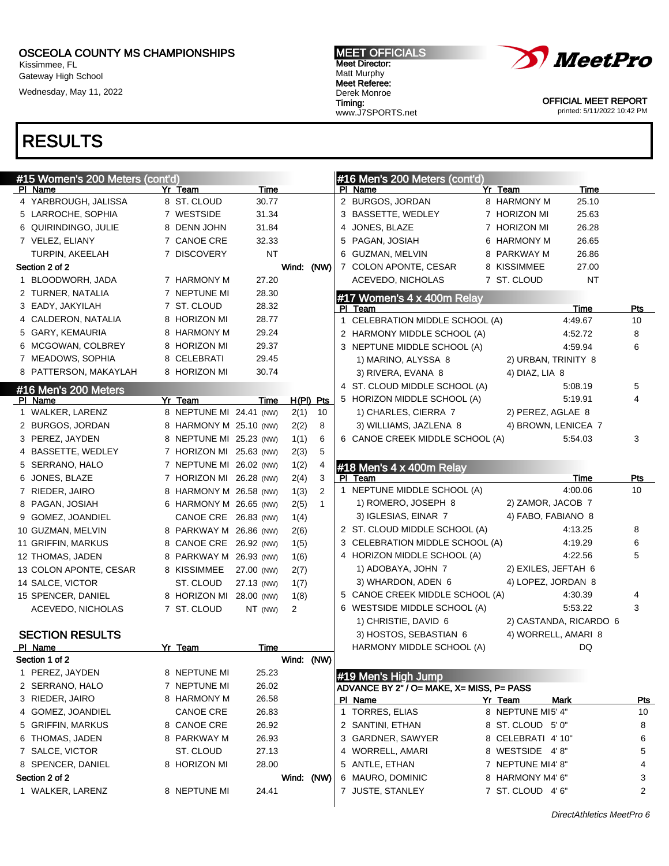Kissimmee, FL Gateway High School

Wednesday, May 11, 2022

1 WALKER, LARENZ 8 NEPTUNE MI 24.41

# RESULTS

| <b>MEET OFFICIALS</b> |
|-----------------------|
| <b>Meet Director:</b> |
| Matt Murphy           |
| <b>Meet Referee:</b>  |
| Derek Monroe          |
| Timing:               |
| www.J7SPORTS.net      |



OFFICIAL MEET REPORT

printed: 5/11/2022 10:42 PM

| #15 Women's 200 Meters (cont'd)<br>PI Name | Yr Team                 | Time       |            |              |              | #16 Men's 200 Meters (cont'd)<br>PI Name  | Yr Team             | Time                   |            |
|--------------------------------------------|-------------------------|------------|------------|--------------|--------------|-------------------------------------------|---------------------|------------------------|------------|
| 4 YARBROUGH, JALISSA                       | 8 ST. CLOUD             | 30.77      |            |              |              | 2 BURGOS, JORDAN                          | 8 HARMONY M         | 25.10                  |            |
| 5 LARROCHE, SOPHIA                         | 7 WESTSIDE              | 31.34      |            |              |              | 3 BASSETTE, WEDLEY                        | 7 HORIZON MI        | 25.63                  |            |
| 6 QUIRINDINGO, JULIE                       | 8 DENN JOHN             | 31.84      |            |              |              | 4 JONES, BLAZE                            | 7 HORIZON MI        | 26.28                  |            |
| 7 VELEZ, ELIANY                            | 7 CANOE CRE             | 32.33      |            |              |              | 5 PAGAN, JOSIAH                           | 6 HARMONY M         | 26.65                  |            |
| TURPIN, AKEELAH                            | 7 DISCOVERY             | NT         |            |              |              | 6 GUZMAN, MELVIN                          | 8 PARKWAY M         | 26.86                  |            |
| Section 2 of 2                             |                         |            | Wind: (NW) |              |              | 7 COLON APONTE, CESAR                     | 8 KISSIMMEE         | 27.00                  |            |
| 1 BLOODWORH, JADA                          | 7 HARMONY M             | 27.20      |            |              |              | ACEVEDO, NICHOLAS                         | 7 ST. CLOUD         | ΝT                     |            |
| 2 TURNER, NATALIA                          | 7 NEPTUNE MI            | 28.30      |            |              |              | #17 Women's 4 x 400m Relay                |                     |                        |            |
| 3 EADY, JAKYILAH                           | 7 ST. CLOUD             | 28.32      |            |              |              | PI Team                                   |                     | Time                   | Pts        |
| 4 CALDERON, NATALIA                        | 8 HORIZON MI            | 28.77      |            |              |              | 1 CELEBRATION MIDDLE SCHOOL (A)           |                     | 4:49.67                | 10         |
| 5 GARY, KEMAURIA                           | 8 HARMONY M             | 29.24      |            |              |              | 2 HARMONY MIDDLE SCHOOL (A)               |                     | 4:52.72                | 8          |
| 6 MCGOWAN, COLBREY                         | 8 HORIZON MI            | 29.37      |            |              |              | 3 NEPTUNE MIDDLE SCHOOL (A)               |                     | 4:59.94                | 6          |
| 7 MEADOWS, SOPHIA                          | 8 CELEBRATI             | 29.45      |            |              |              | 1) MARINO, ALYSSA 8                       | 2) URBAN, TRINITY 8 |                        |            |
| 8 PATTERSON, MAKAYLAH                      | 8 HORIZON MI            | 30.74      |            |              |              | 3) RIVERA, EVANA 8                        | 4) DIAZ, LIA 8      |                        |            |
|                                            |                         |            |            |              |              | 4 ST. CLOUD MIDDLE SCHOOL (A)             |                     | 5:08.19                | 5          |
| #16 Men's 200 Meters<br>PI Name            | Yr Team                 | Time       |            | $H(PI)$ Pts  |              | 5 HORIZON MIDDLE SCHOOL (A)               |                     | 5:19.91                | 4          |
| 1 WALKER, LARENZ                           | 8 NEPTUNE MI 24.41 (NW) |            | 2(1)       | 10           |              | 1) CHARLES, CIERRA 7                      | 2) PEREZ, AGLAE 8   |                        |            |
| 2 BURGOS, JORDAN                           | 8 HARMONY M 25.10 (NW)  |            | 2(2)       | 8            |              | 3) WILLIAMS, JAZLENA 8                    | 4) BROWN, LENICEA 7 |                        |            |
| 3 PEREZ, JAYDEN                            | 8 NEPTUNE MI 25.23 (NW) |            | 1(1)       | 6            |              | 6 CANOE CREEK MIDDLE SCHOOL (A)           |                     | 5:54.03                | 3          |
|                                            | 7 HORIZON MI 25.63 (NW) |            |            | 5            |              |                                           |                     |                        |            |
| 4 BASSETTE, WEDLEY                         |                         |            | 2(3)       |              |              |                                           |                     |                        |            |
| 5 SERRANO, HALO                            | 7 NEPTUNE MI 26.02 (NW) |            | 1(2)       | 4            |              | #18 Men's 4 x 400m Relay                  |                     |                        |            |
| 6 JONES, BLAZE                             | 7 HORIZON MI 26.28 (NW) |            | 2(4)       | 3            |              | PI Team                                   |                     | Time<br>4:00.06        | Pts<br>10  |
| 7 RIEDER, JAIRO                            | 8 HARMONY M 26.58 (NW)  |            | 1(3)       | 2            |              | 1 NEPTUNE MIDDLE SCHOOL (A)               |                     |                        |            |
| 8 PAGAN, JOSIAH                            | 6 HARMONY M 26.65 (NW)  |            | 2(5)       | $\mathbf{1}$ |              | 1) ROMERO, JOSEPH 8                       | 2) ZAMOR, JACOB 7   |                        |            |
| 9 GOMEZ, JOANDIEL                          | CANOE CRE 26.83 (NW)    |            | 1(4)       |              |              | 3) IGLESIAS, EINAR 7                      | 4) FABO, FABIANO 8  |                        |            |
| 10 GUZMAN, MELVIN                          | 8 PARKWAY M 26.86 (NW)  |            | 2(6)       |              |              | 2 ST. CLOUD MIDDLE SCHOOL (A)             |                     | 4:13.25                | 8          |
| 11 GRIFFIN, MARKUS                         | 8 CANOE CRE 26.92 (NW)  |            | 1(5)       |              |              | 3 CELEBRATION MIDDLE SCHOOL (A)           |                     | 4:19.29                | 6          |
| 12 THOMAS, JADEN                           | 8 PARKWAY M 26.93 (NW)  |            | 1(6)       |              |              | 4 HORIZON MIDDLE SCHOOL (A)               |                     | 4:22.56                | 5          |
| 13 COLON APONTE, CESAR                     | 8 KISSIMMEE             | 27.00 (NW) | 2(7)       |              |              | 1) ADOBAYA, JOHN 7                        | 2) EXILES, JEFTAH 6 |                        |            |
| 14 SALCE, VICTOR                           | ST. CLOUD               | 27.13 (NW) | 1(7)       |              |              | 3) WHARDON, ADEN 6                        | 4) LOPEZ, JORDAN 8  |                        |            |
| 15 SPENCER, DANIEL                         | 8 HORIZON MI 28.00 (NW) |            | 1(8)       |              |              | 5 CANOE CREEK MIDDLE SCHOOL (A)           |                     | 4:30.39                | 4          |
| ACEVEDO, NICHOLAS                          | 7 ST. CLOUD             | NT (NW)    | 2          |              |              | 6 WESTSIDE MIDDLE SCHOOL (A)              |                     | 5:53.22                | 3          |
|                                            |                         |            |            |              |              | 1) CHRISTIE, DAVID 6                      |                     | 2) CASTANDA, RICARDO 6 |            |
| <b>SECTION RESULTS</b>                     |                         |            |            |              |              | 3) HOSTOS, SEBASTIAN 6                    | 4) WORRELL, AMARI 8 |                        |            |
| PI Name                                    | Yr Team                 | Time       |            |              |              | HARMONY MIDDLE SCHOOL (A)                 |                     | DQ                     |            |
| Section 1 of 2                             |                         |            | Wind: (NW) |              |              |                                           |                     |                        |            |
| 1 PEREZ, JAYDEN                            | 8 NEPTUNE MI            | 25.23      |            |              |              | #19 Men's High Jump                       |                     |                        |            |
| 2 SERRANO, HALO                            | 7 NEPTUNE MI            | 26.02      |            |              |              | ADVANCE BY 2" / O= MAKE, X= MISS, P= PASS |                     |                        |            |
| 3 RIEDER, JAIRO                            | 8 HARMONY M             | 26.58      |            |              |              | PI Name                                   | Yr Team             | <u>Mark</u>            | <u>Pts</u> |
| 4 GOMEZ, JOANDIEL                          | <b>CANOE CRE</b>        | 26.83      |            |              | $\mathbf{1}$ | TORRES, ELIAS                             | 8 NEPTUNE MI5' 4"   |                        | 10         |
| 5 GRIFFIN, MARKUS                          | 8 CANOE CRE             | 26.92      |            |              |              | 2 SANTINI, ETHAN                          | 8 ST. CLOUD 5'0"    |                        | 8          |
| 6 THOMAS, JADEN                            | 8 PARKWAY M             | 26.93      |            |              |              | 3 GARDNER, SAWYER                         | 8 CELEBRATI 4'10"   |                        | 6          |
| 7 SALCE, VICTOR                            | ST. CLOUD               | 27.13      |            |              | 4            | WORRELL, AMARI                            | 8 WESTSIDE 4'8"     |                        | 5          |
| 8 SPENCER, DANIEL                          | 8 HORIZON MI            | 28.00      |            |              | 5            | ANTLE, ETHAN                              | 7 NEPTUNE MI4'8"    |                        | 4          |
| Section 2 of 2                             |                         |            | Wind: (NW) |              |              | 6 MAURO, DOMINIC                          | 8 HARMONY M4' 6"    |                        | 3          |

7 JUSTE, STANLEY 7 ST. CLOUD 4'6" 2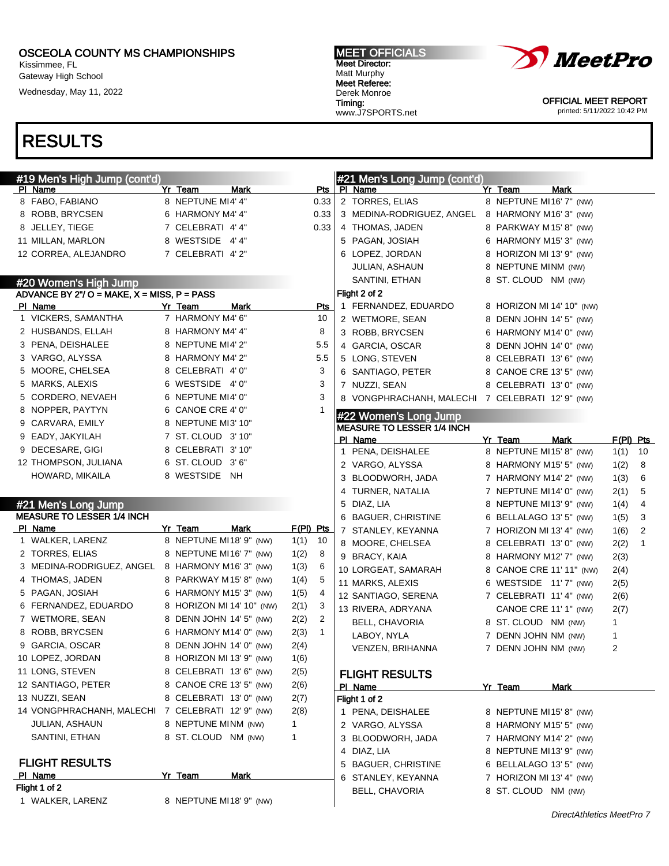Kissimmee, FL Gateway High School Wednesday, May 11, 2022

#### MEET OFFICIALS Meet Director: Matt Murphy Meet Referee: Derek Monroe Timing: www.J7SPORTS.net



OFFICIAL MEET REPORT printed: 5/11/2022 10:42 PM

| #19 Men's High Jump (cont'd)                   |                           |           |                | #21 Men's Long Jump (cont'd)                               |                           |      |             |
|------------------------------------------------|---------------------------|-----------|----------------|------------------------------------------------------------|---------------------------|------|-------------|
| PI Name                                        | Yr Team<br>Mark           |           | Pts            | PI Name                                                    | Yr Team<br>Mark           |      |             |
| 8 FABO, FABIANO                                | 8 NEPTUNE MI4' 4"         |           | 0.33           | 2 TORRES, ELIAS                                            | 8 NEPTUNE MI16' 7" (NW)   |      |             |
| 8 ROBB, BRYCSEN                                | 6 HARMONY M4' 4"          |           | 0.33           | 3 MEDINA-RODRIGUEZ, ANGEL 8 HARMONY M16' 3" (NW)           |                           |      |             |
| 8 JELLEY, TIEGE                                | 7 CELEBRATI 4'4"          |           | 0.33           | 4 THOMAS, JADEN                                            | 8 PARKWAY M 15' 8" (NW)   |      |             |
| 11 MILLAN, MARLON                              | 8 WESTSIDE 4'4"           |           |                | 5 PAGAN, JOSIAH                                            | 6 HARMONY M15' 3" (NW)    |      |             |
| 12 CORREA, ALEJANDRO                           | 7 CELEBRATI 4'2"          |           |                | 6 LOPEZ, JORDAN                                            | 8 HORIZON MI 13' 9" (NW)  |      |             |
|                                                |                           |           |                | <b>JULIAN, ASHAUN</b>                                      | 8 NEPTUNE MINM (NW)       |      |             |
| #20 Women's High Jump                          |                           |           |                | SANTINI, ETHAN                                             | 8 ST. CLOUD NM (NW)       |      |             |
| ADVANCE BY $2"$ / O = MAKE, X = MISS, P = PASS |                           |           |                | Flight 2 of 2                                              |                           |      |             |
| PI Name                                        | Yr Team<br>Mark           |           | Pts            | 1 FERNANDEZ, EDUARDO                                       | 8 HORIZON MI 14' 10" (NW) |      |             |
| 1 VICKERS, SAMANTHA                            | 7 HARMONY M4' 6"          |           | 10             | 2 WETMORE, SEAN                                            | 8 DENN JOHN 14' 5" (NW)   |      |             |
| 2 HUSBANDS, ELLAH                              | 8 HARMONY M4' 4"          |           | 8              | 3 ROBB, BRYCSEN                                            | 6 HARMONY M14' 0" (NW)    |      |             |
| 3 PENA, DEISHALEE                              | 8 NEPTUNE MI4'2"          |           | 5.5            | 4 GARCIA, OSCAR                                            | 8 DENN JOHN 14' 0" (NW)   |      |             |
| 3 VARGO, ALYSSA                                | 8 HARMONY M4' 2"          |           | 5.5            | 5 LONG, STEVEN                                             | 8 CELEBRATI 13' 6" (NW)   |      |             |
| 5 MOORE, CHELSEA                               | 8 CELEBRATI 4'0"          |           | 3              | 6 SANTIAGO, PETER                                          | 8 CANOE CRE 13' 5" (NW)   |      |             |
| 5 MARKS, ALEXIS                                | 6 WESTSIDE 4'0"           |           | 3              | 7 NUZZI, SEAN                                              | 8 CELEBRATI 13' 0" (NW)   |      |             |
| 5 CORDERO, NEVAEH                              | 6 NEPTUNE MI4' 0"         |           | 3              | 8 VONGPHRACHANH, MALECHI 7 CELEBRATI 12'9" (NW)            |                           |      |             |
| 8 NOPPER, PAYTYN                               | 6 CANOE CRE 4' 0"         |           | 1              |                                                            |                           |      |             |
| 9 CARVARA, EMILY                               | 8 NEPTUNE MI3' 10"        |           |                | #22 Women's Long Jump<br><b>MEASURE TO LESSER 1/4 INCH</b> |                           |      |             |
| 9 EADY, JAKYILAH                               | 7 ST. CLOUD 3'10"         |           |                | PI Name                                                    | Yr Team<br>Mark           |      | $F(PI)$ Pts |
| 9 DECESARE, GIGI                               | 8 CELEBRATI 3'10"         |           |                | 1 PENA, DEISHALEE                                          | 8 NEPTUNE MI15' 8" (NW)   | 1(1) | 10          |
| 12 THOMPSON, JULIANA                           | 6 ST. CLOUD 3'6"          |           |                | 2 VARGO, ALYSSA                                            | 8 HARMONY M15' 5" (NW)    | 1(2) | 8           |
| HOWARD, MIKAILA                                | 8 WESTSIDE NH             |           |                | 3 BLOODWORH, JADA                                          | 7 HARMONY M14' 2" (NW)    | 1(3) | 6           |
|                                                |                           |           |                | 4 TURNER, NATALIA                                          | 7 NEPTUNE MI14' 0" (NW)   | 2(1) | 5           |
| #21 Men's Long Jump                            |                           |           |                | 5 DIAZ, LIA                                                | 8 NEPTUNE MI13' 9" (NW)   | 1(4) | 4           |
| <b>MEASURE TO LESSER 1/4 INCH</b>              |                           |           |                | 6 BAGUER, CHRISTINE                                        | 6 BELLALAGO 13' 5" (NW)   | 1(5) | 3           |
| PI Name                                        | Yr Team<br>Mark           | F(PI) Pts |                | 7 STANLEY, KEYANNA                                         | 7 HORIZON MI 13' 4" (NW)  | 1(6) | 2           |
| 1 WALKER, LARENZ                               | 8 NEPTUNE MI18' 9" (NW)   | 1(1)      | - 10           | 8 MOORE, CHELSEA                                           | 8 CELEBRATI 13'0" (NW)    | 2(2) | 1           |
| 2 TORRES, ELIAS                                | 8 NEPTUNE MI16' 7" (NW)   | 1(2)      | 8              | 9 BRACY, KAIA                                              |                           |      |             |
| 3 MEDINA-RODRIGUEZ, ANGEL                      | 8 HARMONY M16' 3" (NW)    | 1(3)      | 6              |                                                            | 8 HARMONY M12' 7" (NW)    | 2(3) |             |
| 4 THOMAS, JADEN                                | 8 PARKWAY M15'8" (NW)     | 1(4)      | 5              | 10 LORGEAT, SAMARAH                                        | 8 CANOE CRE 11' 11" (NW)  | 2(4) |             |
| 5 PAGAN, JOSIAH                                | 6 HARMONY M15' 3" (NW)    | 1(5)      | 4              | 11 MARKS, ALEXIS                                           | 6 WESTSIDE 11'7" (NW)     | 2(5) |             |
| 6 FERNANDEZ, EDUARDO                           | 8 HORIZON MI 14' 10" (NW) | 2(1)      | 3              | 12 SANTIAGO, SERENA                                        | 7 CELEBRATI 11' 4" (NW)   | 2(6) |             |
| 7 WETMORE, SEAN                                | 8 DENN JOHN 14' 5" (NW)   | 2(2)      | $\overline{2}$ | 13 RIVERA, ADRYANA                                         | CANOE CRE 11' 1" (NW)     | 2(7) |             |
| 8 ROBB, BRYCSEN                                | 6 HARMONY M14' 0" (NW)    | 2(3)      | $\mathbf{1}$   | BELL, CHAVORIA                                             | 8 ST. CLOUD NM (NW)       | 1    |             |
| 9 GARCIA, OSCAR                                | 8 DENN JOHN 14' 0" (NW)   | 2(4)      |                | LABOY, NYLA                                                | 7 DENN JOHN NM (NW)       | 1    |             |
| 10 LOPEZ, JORDAN                               | 8 HORIZON MI 13' 9" (NW)  | 1(6)      |                | VENZEN, BRIHANNA                                           | 7 DENN JOHN NM (NW)       | 2    |             |
| 11 LONG, STEVEN                                | 8 CELEBRATI 13' 6" (NW)   | 2(5)      |                |                                                            |                           |      |             |
| 12 SANTIAGO, PETER                             | 8 CANOE CRE 13' 5" (NW)   | 2(6)      |                | <b>FLIGHT RESULTS</b>                                      |                           |      |             |
| 13 NUZZI, SEAN                                 | 8 CELEBRATI 13' 0" (NW)   |           |                | PI Name                                                    | Yr Team<br>Mark           |      |             |
| 14 VONGPHRACHANH, MALECHI                      |                           | 2(7)      |                | Flight 1 of 2                                              |                           |      |             |
|                                                | 7 CELEBRATI 12' 9" (NW)   | 2(8)      |                | 1 PENA, DEISHALEE                                          | 8 NEPTUNE MI15'8" (NW)    |      |             |
| <b>JULIAN, ASHAUN</b>                          | 8 NEPTUNE MINM (NW)       | 1         |                | 2 VARGO, ALYSSA                                            | 8 HARMONY M15' 5" (NW)    |      |             |
| SANTINI, ETHAN                                 | 8 ST. CLOUD NM (NW)       | 1         |                | 3 BLOODWORH, JADA                                          | 7 HARMONY M14' 2" (NW)    |      |             |
|                                                |                           |           |                | 4 DIAZ, LIA                                                | 8 NEPTUNE MI13' 9" (NW)   |      |             |
| <b>FLIGHT RESULTS</b>                          |                           |           |                | 5 BAGUER, CHRISTINE                                        | 6 BELLALAGO 13' 5" (NW)   |      |             |
| PI Name                                        | Yr Team<br><b>Mark</b>    |           |                | 6 STANLEY, KEYANNA                                         | 7 HORIZON MI 13' 4" (NW)  |      |             |
| Flight 1 of 2                                  |                           |           |                | BELL, CHAVORIA                                             | 8 ST. CLOUD NM (NW)       |      |             |
| 1 WALKER, LARENZ                               | 8 NEPTUNE MI18' 9" (NW)   |           |                |                                                            |                           |      |             |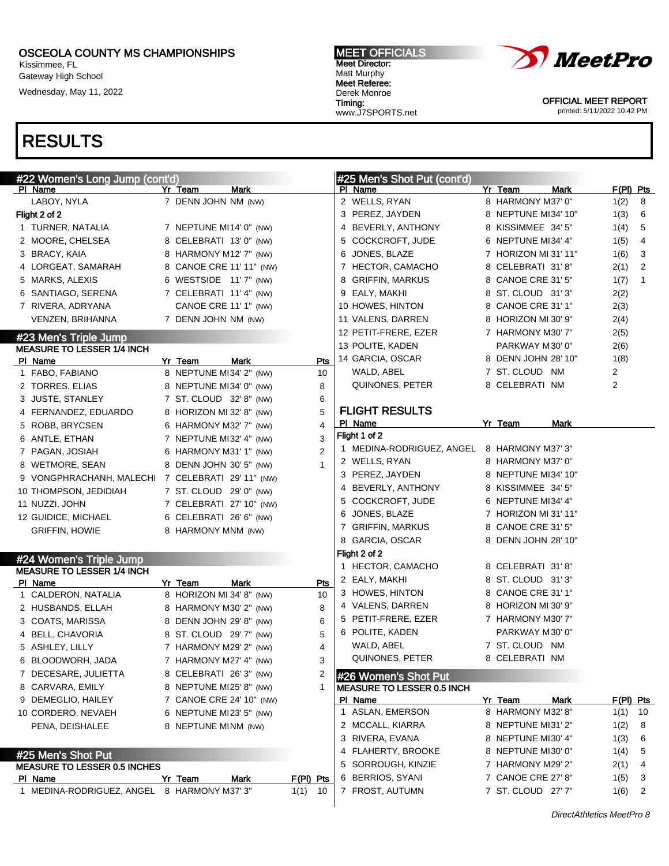1 MEDINA-RODRIGUEZ, ANGEL 8 HARMONY M37' 3" 1(1) 10

Kissimmee, FL Gateway High School Wednesday, May 11, 2022

RESULTS

#### #22 Women's Long Jump (cont'd) PI Name Yr Team Mark LABOY, NYLA 7 DENN JOHN NM (NW) Flight 2 of 2 1 TURNER, NATALIA 7 NEPTUNE MI14' 0" (NW) 2 MOORE, CHELSEA 8 CELEBRATI 13' 0" (NW) 3 BRACY, KAIA 8 HARMONY M12' 7" (NW) 4 LORGEAT, SAMARAH 8 CANOE CRE 11' 11" (NW) 5 MARKS, ALEXIS 6 WESTSIDE 11' 7" (NW) 6 SANTIAGO, SERENA 7 CELEBRATI 11' 4" (NW) 7 RIVERA, ADRYANA CANOE CRE 11' 1" (NW) VENZEN, BRIHANNA 7 DENN JOHN NM (NW) #23 Men's Triple Jump MEASURE TO LESSER 1/4 INCH PI Name **Yr Team** Mark Pts 1 FABO, FABIANO 8 NEPTUNE MI34' 2" (NW) 10 2 TORRES, ELIAS 8 NEPTUNE MI34' 0" (NW) 8 3 JUSTE, STANLEY 7 ST. CLOUD 32' 8" (NW) 6 4 FERNANDEZ, EDUARDO 8 HORIZON MI 32' 8" (NW) 5 5 ROBB, BRYCSEN 6 HARMONY M32' 7" (NW) 4 6 ANTLE, ETHAN 7 NEPTUNE MI32' 4" (NW) 3 7 PAGAN, JOSIAH 6 HARMONY M31' 1" (NW) 2 8 WETMORE, SEAN 8 DENN JOHN 30' 5" (NW) 1 9 VONGPHRACHANH, MALECHI 7 CELEBRATI 29' 11" (NW) 10 THOMPSON, JEDIDIAH 7 ST. CLOUD 29' 0" (NW) 11 NUZZI, JOHN 7 CELEBRATI 27' 10" (NW) 12 GUIDICE, MICHAEL 6 CELEBRATI 26' 6" (NW) GRIFFIN, HOWIE 8 HARMONY MNM (NW) #24 Women's Triple Jump MEASURE TO LESSER 1/4 INCH Pl Name **Yr Team** Mark Pts 1 CALDERON, NATALIA 8 HORIZON MI 34' 8" (NW) 10 2 HUSBANDS, ELLAH 8 HARMONY M30' 2" (NW) 8 3 COATS, MARISSA 8 DENN JOHN 29' 8" (NW) 6 4 BELL, CHAVORIA 8 ST. CLOUD 29' 7" (NW) 5 5 ASHLEY, LILLY  $\overline{7}$  HARMONY M29' 2" (NW) 4 6 BLOODWORH, JADA 7 HARMONY M27' 4" (NW) 3 7 DECESARE, JULIETTA 8 CELEBRATI 26' 3" (NW) 2 8 CARVARA, EMILY 8 NEPTUNE MI25' 8" (NW) 1 9 DEMEGLIO, HAILEY 7 CANOE CRE 24' 10" (NW) 10 CORDERO, NEVAEH 6 NEPTUNE MI23' 5" (NW) PENA, DEISHALEE 8 NEPTUNE MINM (NW) #25 Men's Shot Put MEASURE TO LESSER 0.5 INCHES Pl Name Yr Team Mark F(Pl) Pts #25 Men's Shot Put (cont'd) PI Name **Yr Team** Mark F(PI) Pts 2 WELLS, RYAN 8 HARMONY M37' 0" 1(2) 8 3 PEREZ, JAYDEN 8 NEPTUNE MI34' 10" 1(3) 6 4 BEVERLY, ANTHONY 8 KISSIMMEE 34' 5" 1(4) 5 5 COCKCROFT, JUDE 6 NEPTUNE MI34' 4" 1(5) 4 6 JONES, BLAZE 7 HORIZON MI 31' 11" 1(6) 3 7 HECTOR, CAMACHO 8 CELEBRATI 31' 8" 2(1) 2 8 GRIFFIN, MARKUS 8 CANOE CRE 31' 5" 1(7) 1 9 EALY, MAKHI 8 ST. CLOUD 31' 3" 2(2) 10 HOWES, HINTON 8 CANOE CRE 31' 1" 2(3) 11 VALENS, DARREN 8 HORIZON MI 30' 9" 2(4) 12 PETIT-FRERE, EZER 7 HARMONY M30' 7" 2(5) 13 POLITE, KADEN PARKWAY M30' 0" 2(6) 14 GARCIA, OSCAR 8 DENN JOHN 28' 10" 1(8) WALD, ABEL 7 ST. CLOUD NM 2 QUINONES, PETER 8 CELEBRATI NM FLIGHT RESULTS Pl Name Yr Team Mark Flight 1 of 2 1 MEDINA-RODRIGUEZ, ANGEL 8 HARMONY M37' 3" 2 WELLS, RYAN 8 HARMONY M37' 0" 3 PEREZ, JAYDEN 8 NEPTUNE MI34' 10" 4 BEVERLY, ANTHONY 8 KISSIMMEE 34' 5" 5 COCKCROFT, JUDE 6 NEPTUNE MI34' 4" 6 JONES, BLAZE 7 HORIZON MI 31' 11" 7 GRIFFIN, MARKUS 8 CANOE CRE 31' 5" 8 GARCIA, OSCAR 8 DENN JOHN 28' 10" Flight 2 of 2 1 HECTOR, CAMACHO 8 CELEBRATI 31'8" 2 EALY, MAKHI 8 ST. CLOUD 31' 3" 3 HOWES, HINTON 8 CANOE CRE 31' 1" 4 VALENS, DARREN 8 HORIZON MI 30' 9" 5 PETIT-FRERE, EZER 7 HARMONY M30' 7" 6 POLITE, KADEN PARKWAY M30' 0" WALD, ABEL 7 ST. CLOUD NM QUINONES, PETER 8 CELEBRATI NM #26 Women's Shot Put MEASURE TO LESSER 0.5 INCH PI Name Yr Team Mark F(PI) Pts 1 ASLAN, EMERSON 8 HARMONY M32' 8" 1(1) 10 2 MCCALL, KIARRA 8 NEPTUNE MI31' 2" 1(2) 8 3 RIVERA, EVANA 8 NEPTUNE MI30' 4" 1(3) 6 4 FLAHERTY, BROOKE 8 NEPTUNE MI30' 0" 1(4) 5 5 SORROUGH, KINZIE 7 HARMONY M29' 2" 2(1) 4 6 BERRIOS, SYANI 7 CANOE CRE 27' 8" 1(5) 3

*XMeetPro* 

OFFICIAL MEET REPORT printed: 5/11/2022 10:42 PM

DirectAthletics MeetPro 8

7 FROST, AUTUMN 7 ST. CLOUD 27' 7" 1(6) 2

#### MEET OFFICIALS Meet Director: Matt Murphy Meet Referee: Derek Monroe Timing: www.J7SPORTS.net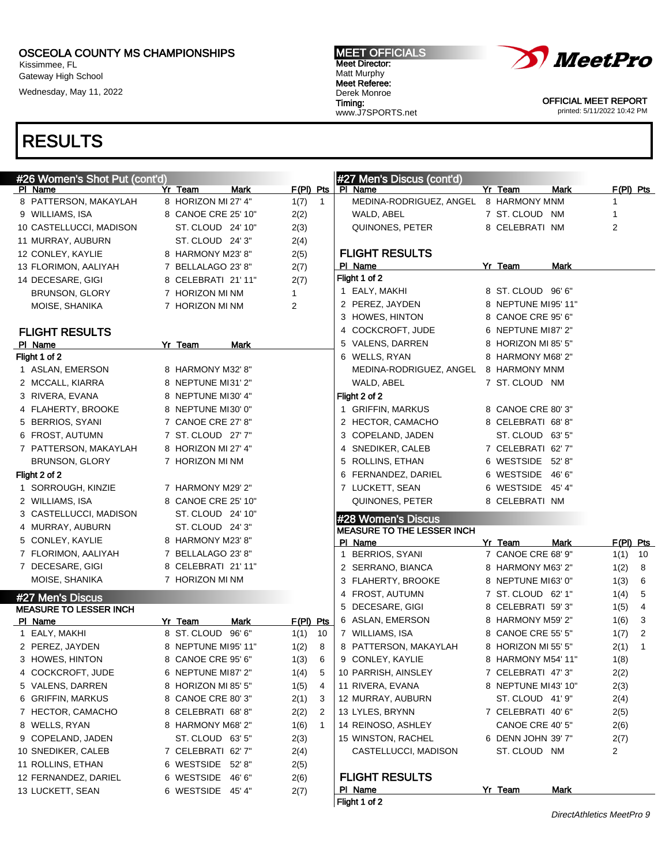Kissimmee, FL Gateway High School

Wednesday, May 11, 2022

#### MEET OFFICIALS Meet Director: Matt Murphy Meet Referee: Derek Monroe Timing: www.J7SPORTS.net



OFFICIAL MEET REPORT printed: 5/11/2022 10:42 PM

|               | #26 Women's Shot Put (cont'd) |                        |              |              | #27 Men's Discus (cont'd)             |                     |             |                |              |
|---------------|-------------------------------|------------------------|--------------|--------------|---------------------------------------|---------------------|-------------|----------------|--------------|
| PI Name       |                               | Yr Team<br>Mark        | $F(PI)$ Pts  |              | PI Name                               | Yr Team             | <b>Mark</b> | $F(PI)$ Pts    |              |
|               | 8 PATTERSON, MAKAYLAH         | 8 HORIZON MI 27' 4"    | 1(7)         | $\mathbf{1}$ | MEDINA-RODRIGUEZ, ANGEL 8 HARMONY MNM |                     |             | 1              |              |
|               | 9 WILLIAMS, ISA               | 8 CANOE CRE 25' 10"    | 2(2)         |              | WALD, ABEL                            | 7 ST. CLOUD NM      |             | 1              |              |
|               | 10 CASTELLUCCI, MADISON       | ST. CLOUD 24' 10"      | 2(3)         |              | QUINONES, PETER                       | 8 CELEBRATI NM      |             | 2              |              |
|               | 11 MURRAY, AUBURN             | ST. CLOUD 24' 3"       | 2(4)         |              |                                       |                     |             |                |              |
|               | 12 CONLEY, KAYLIE             | 8 HARMONY M23' 8"      | 2(5)         |              | <b>FLIGHT RESULTS</b>                 |                     |             |                |              |
|               | 13 FLORIMON, AALIYAH          | 7 BELLALAGO 23' 8"     | 2(7)         |              | PI Name                               | Yr Team             | Mark        |                |              |
|               | 14 DECESARE, GIGI             | 8 CELEBRATI 21'11"     | 2(7)         |              | Flight 1 of 2                         |                     |             |                |              |
|               | BRUNSON, GLORY                | 7 HORIZON MI NM        | $\mathbf{1}$ |              | 1 EALY, MAKHI                         | 8 ST. CLOUD 96'6"   |             |                |              |
|               | MOISE, SHANIKA                | 7 HORIZON MI NM        | 2            |              | 2 PEREZ, JAYDEN                       | 8 NEPTUNE MI95' 11" |             |                |              |
|               |                               |                        |              |              | 3 HOWES, HINTON                       | 8 CANOE CRE 95' 6"  |             |                |              |
|               | <b>FLIGHT RESULTS</b>         |                        |              |              | 4 COCKCROFT, JUDE                     | 6 NEPTUNE MI87' 2"  |             |                |              |
| PI Name       |                               | Yr Team<br>Mark        |              |              | 5 VALENS, DARREN                      | 8 HORIZON MI 85' 5" |             |                |              |
| Flight 1 of 2 |                               |                        |              |              | 6 WELLS, RYAN                         | 8 HARMONY M68' 2"   |             |                |              |
|               | 1 ASLAN, EMERSON              | 8 HARMONY M32' 8"      |              |              | MEDINA-RODRIGUEZ, ANGEL 8 HARMONY MNM |                     |             |                |              |
|               | 2 MCCALL, KIARRA              | 8 NEPTUNE MI31'2"      |              |              | WALD, ABEL                            | 7 ST. CLOUD NM      |             |                |              |
|               | 3 RIVERA, EVANA               | 8 NEPTUNE MI30' 4"     |              |              | Flight 2 of 2                         |                     |             |                |              |
|               | 4 FLAHERTY, BROOKE            | 8 NEPTUNE MI30' 0"     |              |              | 1 GRIFFIN, MARKUS                     | 8 CANOE CRE 80' 3"  |             |                |              |
|               | 5 BERRIOS, SYANI              | 7 CANOE CRE 27' 8"     |              |              | 2 HECTOR, CAMACHO                     | 8 CELEBRATI 68'8"   |             |                |              |
|               | 6 FROST, AUTUMN               | 7 ST. CLOUD 27' 7"     |              |              | 3 COPELAND, JADEN                     | ST. CLOUD 63' 5"    |             |                |              |
|               | 7 PATTERSON, MAKAYLAH         | 8 HORIZON MI 27' 4"    |              |              | 4 SNEDIKER, CALEB                     | 7 CELEBRATI 62' 7"  |             |                |              |
|               | <b>BRUNSON, GLORY</b>         | 7 HORIZON MI NM        |              |              | 5 ROLLINS, ETHAN                      | 6 WESTSIDE 52'8"    |             |                |              |
| Flight 2 of 2 |                               |                        |              |              | 6 FERNANDEZ, DARIEL                   | 6 WESTSIDE 46'6"    |             |                |              |
|               | 1 SORROUGH, KINZIE            | 7 HARMONY M29' 2"      |              |              | 7 LUCKETT, SEAN                       | 6 WESTSIDE 45' 4"   |             |                |              |
|               | 2 WILLIAMS, ISA               | 8 CANOE CRE 25' 10"    |              |              | QUINONES, PETER                       | 8 CELEBRATI NM      |             |                |              |
|               | 3 CASTELLUCCI, MADISON        | ST. CLOUD 24' 10"      |              |              | #28 Women's Discus                    |                     |             |                |              |
|               | 4 MURRAY, AUBURN              | ST. CLOUD 24' 3"       |              |              | <b>MEASURE TO THE LESSER INCH</b>     |                     |             |                |              |
|               | 5 CONLEY, KAYLIE              | 8 HARMONY M23' 8"      |              |              | PI Name                               | Yr Team             | <b>Mark</b> | $F(PI)$ Pts    |              |
|               | 7 FLORIMON, AALIYAH           | 7 BELLALAGO 23' 8"     |              |              | 1 BERRIOS, SYANI                      | 7 CANOE CRE 68' 9"  |             | $1(1)$ 10      |              |
|               | 7 DECESARE, GIGI              | 8 CELEBRATI 21'11"     |              |              | 2 SERRANO, BIANCA                     | 8 HARMONY M63' 2"   |             | 1(2)           | 8            |
|               | MOISE, SHANIKA                | 7 HORIZON MI NM        |              |              | 3 FLAHERTY, BROOKE                    | 8 NEPTUNE MI63' 0"  |             | 1(3)           | 6            |
|               | #27 Men's Discus              |                        |              |              | 4 FROST, AUTUMN                       | 7 ST. CLOUD 62' 1"  |             | 1(4)           | 5            |
|               | <b>MEASURE TO LESSER INCH</b> |                        |              |              | 5 DECESARE, GIGI                      | 8 CELEBRATI 59'3"   |             | 1(5)           | 4            |
| PI Name       |                               | <b>Mark</b><br>Yr Team | $F(PI)$ Pts  |              | 6 ASLAN, EMERSON                      | 8 HARMONY M59' 2"   |             | 1(6)           | 3            |
|               | 1 EALY, MAKHI                 | 8 ST. CLOUD 96' 6"     | 1(1)         | 10           | 7 WILLIAMS, ISA                       | 8 CANOE CRE 55' 5"  |             | 1(7)           | 2            |
|               | 2 PEREZ, JAYDEN               | 8 NEPTUNE MI95' 11"    | 1(2)         | 8            | 8 PATTERSON, MAKAYLAH                 | 8 HORIZON MI 55' 5" |             | 2(1)           | $\mathbf{1}$ |
|               | 3 HOWES, HINTON               | 8 CANOE CRE 95' 6"     | 1(3)         | 6            | 9 CONLEY, KAYLIE                      | 8 HARMONY M54' 11"  |             | 1(8)           |              |
|               | 4 COCKCROFT, JUDE             | 6 NEPTUNE MI87' 2"     | 1(4)         | 5            | 10 PARRISH, AINSLEY                   | 7 CELEBRATI 47'3"   |             | 2(2)           |              |
|               | 5 VALENS, DARREN              | 8 HORIZON MI 85' 5"    | 1(5)         | 4            | 11 RIVERA, EVANA                      | 8 NEPTUNE MI43' 10" |             | 2(3)           |              |
|               | 6 GRIFFIN, MARKUS             | 8 CANOE CRE 80' 3"     | 2(1)         | 3            | 12 MURRAY, AUBURN                     | ST. CLOUD 41' 9"    |             | 2(4)           |              |
|               | 7 HECTOR, CAMACHO             | 8 CELEBRATI 68'8"      | 2(2)         | 2            | 13 LYLES, BRYNN                       | 7 CELEBRATI 40'6"   |             | 2(5)           |              |
|               | 8 WELLS, RYAN                 | 8 HARMONY M68' 2"      | 1(6)         | $\mathbf{1}$ | 14 REINOSO, ASHLEY                    | CANOE CRE 40' 5"    |             | 2(6)           |              |
|               | 9 COPELAND, JADEN             | ST. CLOUD 63' 5"       | 2(3)         |              | 15 WINSTON, RACHEL                    | 6 DENN JOHN 39' 7"  |             | 2(7)           |              |
|               | 10 SNEDIKER, CALEB            | 7 CELEBRATI 62' 7"     | 2(4)         |              | CASTELLUCCI, MADISON                  | ST. CLOUD NM        |             | $\overline{2}$ |              |
|               | 11 ROLLINS, ETHAN             | 6 WESTSIDE 52'8"       | 2(5)         |              |                                       |                     |             |                |              |
|               | 12 FERNANDEZ, DARIEL          | 6 WESTSIDE 46'6"       | 2(6)         |              | <b>FLIGHT RESULTS</b>                 |                     |             |                |              |
|               | 13 LUCKETT, SEAN              | 6 WESTSIDE 45' 4"      | 2(7)         |              | PI Name                               | Yr Team             | <b>Mark</b> |                |              |
|               |                               |                        |              |              | Flight 1 of 2                         |                     |             |                |              |